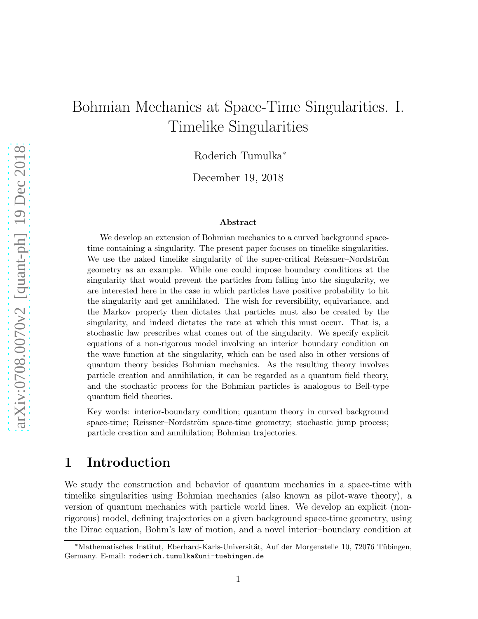# Bohmian Mechanics at Space-Time Singularities. I. Timelike Singularities

Roderich Tumulka<sup>∗</sup>

December 19, 2018

#### Abstract

We develop an extension of Bohmian mechanics to a curved background spacetime containing a singularity. The present paper focuses on timelike singularities. We use the naked timelike singularity of the super-critical Reissner–Nordström geometry as an example. While one could impose boundary conditions at the singularity that would prevent the particles from falling into the singularity, we are interested here in the case in which particles have positive probability to hit the singularity and get annihilated. The wish for reversibility, equivariance, and the Markov property then dictates that particles must also be created by the singularity, and indeed dictates the rate at which this must occur. That is, a stochastic law prescribes what comes out of the singularity. We specify explicit equations of a non-rigorous model involving an interior–boundary condition on the wave function at the singularity, which can be used also in other versions of quantum theory besides Bohmian mechanics. As the resulting theory involves particle creation and annihilation, it can be regarded as a quantum field theory, and the stochastic process for the Bohmian particles is analogous to Bell-type quantum field theories.

Key words: interior-boundary condition; quantum theory in curved background space-time; Reissner–Nordström space-time geometry; stochastic jump process; particle creation and annihilation; Bohmian trajectories.

### 1 Introduction

We study the construction and behavior of quantum mechanics in a space-time with timelike singularities using Bohmian mechanics (also known as pilot-wave theory), a version of quantum mechanics with particle world lines. We develop an explicit (nonrigorous) model, defining trajectories on a given background space-time geometry, using the Dirac equation, Bohm's law of motion, and a novel interior–boundary condition at

<sup>\*</sup>Mathematisches Institut, Eberhard-Karls-Universität, Auf der Morgenstelle 10, 72076 Tübingen, Germany. E-mail: roderich.tumulka@uni-tuebingen.de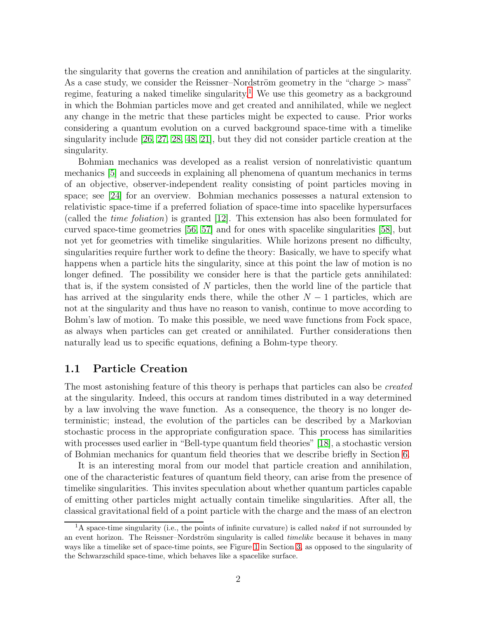the singularity that governs the creation and annihilation of particles at the singularity. As a case study, we consider the Reissner–Nordström geometry in the "charge  $>$  mass" regime, featuring a naked timelike singularity.<sup>[1](#page-1-0)</sup> We use this geometry as a background in which the Bohmian particles move and get created and annihilated, while we neglect any change in the metric that these particles might be expected to cause. Prior works considering a quantum evolution on a curved background space-time with a timelike singularity include [\[26,](#page-22-0) [27,](#page-22-1) [28,](#page-23-0) [48,](#page-24-0) [21\]](#page-22-2), but they did not consider particle creation at the singularity.

Bohmian mechanics was developed as a realist version of nonrelativistic quantum mechanics [\[5\]](#page-21-0) and succeeds in explaining all phenomena of quantum mechanics in terms of an objective, observer-independent reality consisting of point particles moving in space; see [\[24\]](#page-22-3) for an overview. Bohmian mechanics possesses a natural extension to relativistic space-time if a preferred foliation of space-time into spacelike hypersurfaces (called the time foliation) is granted [\[12\]](#page-21-1). This extension has also been formulated for curved space-time geometries [\[56,](#page-25-0) [57\]](#page-25-1) and for ones with spacelike singularities [\[58\]](#page-25-2), but not yet for geometries with timelike singularities. While horizons present no difficulty, singularities require further work to define the theory: Basically, we have to specify what happens when a particle hits the singularity, since at this point the law of motion is no longer defined. The possibility we consider here is that the particle gets annihilated: that is, if the system consisted of  $N$  particles, then the world line of the particle that has arrived at the singularity ends there, while the other  $N-1$  particles, which are not at the singularity and thus have no reason to vanish, continue to move according to Bohm's law of motion. To make this possible, we need wave functions from Fock space, as always when particles can get created or annihilated. Further considerations then naturally lead us to specific equations, defining a Bohm-type theory.

### 1.1 Particle Creation

The most astonishing feature of this theory is perhaps that particles can also be *created* at the singularity. Indeed, this occurs at random times distributed in a way determined by a law involving the wave function. As a consequence, the theory is no longer deterministic; instead, the evolution of the particles can be described by a Markovian stochastic process in the appropriate configuration space. This process has similarities with processes used earlier in "Bell-type quantum field theories" [\[18\]](#page-22-4), a stochastic version of Bohmian mechanics for quantum field theories that we describe briefly in Section [6.](#page-18-0)

It is an interesting moral from our model that particle creation and annihilation, one of the characteristic features of quantum field theory, can arise from the presence of timelike singularities. This invites speculation about whether quantum particles capable of emitting other particles might actually contain timelike singularities. After all, the classical gravitational field of a point particle with the charge and the mass of an electron

<span id="page-1-0"></span><sup>&</sup>lt;sup>1</sup>A space-time singularity (i.e., the points of infinite curvature) is called *naked* if not surrounded by an event horizon. The Reissner–Nordström singularity is called *timelike* because it behaves in many ways like a timelike set of space-time points, see Figure [1](#page-7-0) in Section [3,](#page-6-0) as opposed to the singularity of the Schwarzschild space-time, which behaves like a spacelike surface.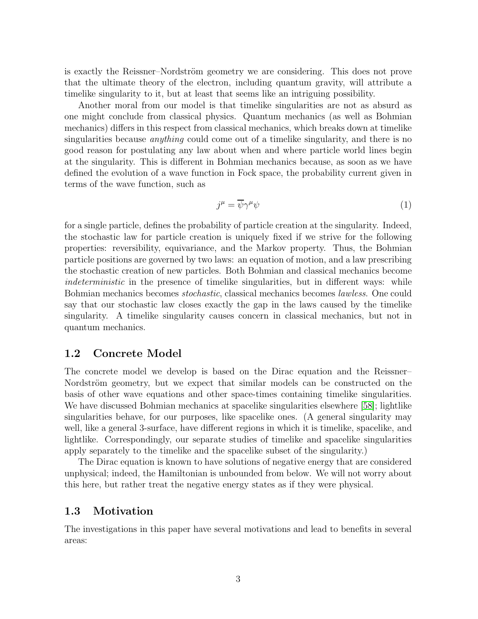is exactly the Reissner–Nordström geometry we are considering. This does not prove that the ultimate theory of the electron, including quantum gravity, will attribute a timelike singularity to it, but at least that seems like an intriguing possibility.

Another moral from our model is that timelike singularities are not as absurd as one might conclude from classical physics. Quantum mechanics (as well as Bohmian mechanics) differs in this respect from classical mechanics, which breaks down at timelike singularities because *anything* could come out of a timelike singularity, and there is no good reason for postulating any law about when and where particle world lines begin at the singularity. This is different in Bohmian mechanics because, as soon as we have defined the evolution of a wave function in Fock space, the probability current given in terms of the wave function, such as

$$
j^{\mu} = \overline{\psi}\gamma^{\mu}\psi\tag{1}
$$

for a single particle, defines the probability of particle creation at the singularity. Indeed, the stochastic law for particle creation is uniquely fixed if we strive for the following properties: reversibility, equivariance, and the Markov property. Thus, the Bohmian particle positions are governed by two laws: an equation of motion, and a law prescribing the stochastic creation of new particles. Both Bohmian and classical mechanics become indeterministic in the presence of timelike singularities, but in different ways: while Bohmian mechanics becomes stochastic, classical mechanics becomes lawless. One could say that our stochastic law closes exactly the gap in the laws caused by the timelike singularity. A timelike singularity causes concern in classical mechanics, but not in quantum mechanics.

### 1.2 Concrete Model

The concrete model we develop is based on the Dirac equation and the Reissner– Nordström geometry, but we expect that similar models can be constructed on the basis of other wave equations and other space-times containing timelike singularities. We have discussed Bohmian mechanics at spacelike singularities elsewhere [\[58\]](#page-25-2); lightlike singularities behave, for our purposes, like spacelike ones. (A general singularity may well, like a general 3-surface, have different regions in which it is timelike, spacelike, and lightlike. Correspondingly, our separate studies of timelike and spacelike singularities apply separately to the timelike and the spacelike subset of the singularity.)

The Dirac equation is known to have solutions of negative energy that are considered unphysical; indeed, the Hamiltonian is unbounded from below. We will not worry about this here, but rather treat the negative energy states as if they were physical.

### 1.3 Motivation

The investigations in this paper have several motivations and lead to benefits in several areas: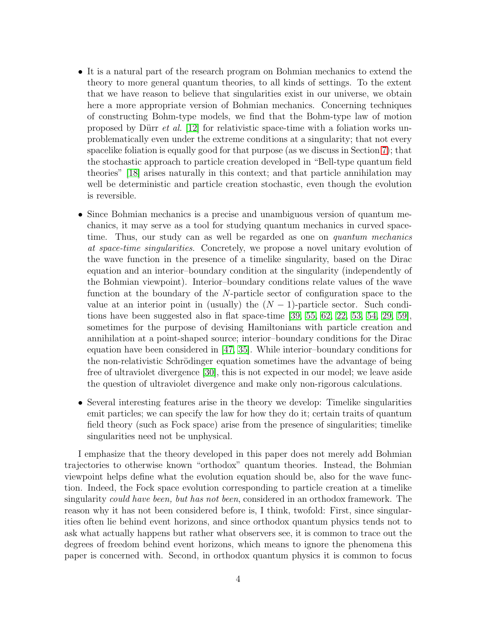- It is a natural part of the research program on Bohmian mechanics to extend the theory to more general quantum theories, to all kinds of settings. To the extent that we have reason to believe that singularities exist in our universe, we obtain here a more appropriate version of Bohmian mechanics. Concerning techniques of constructing Bohm-type models, we find that the Bohm-type law of motion proposed by Dürr *et al.* [\[12\]](#page-21-1) for relativistic space-time with a foliation works unproblematically even under the extreme conditions at a singularity; that not every spacelike foliation is equally good for that purpose (as we discuss in Section [7\)](#page-19-0); that the stochastic approach to particle creation developed in "Bell-type quantum field theories" [\[18\]](#page-22-4) arises naturally in this context; and that particle annihilation may well be deterministic and particle creation stochastic, even though the evolution is reversible.
- Since Bohmian mechanics is a precise and unambiguous version of quantum mechanics, it may serve as a tool for studying quantum mechanics in curved spacetime. Thus, our study can as well be regarded as one on *quantum mechanics* at space-time singularities. Concretely, we propose a novel unitary evolution of the wave function in the presence of a timelike singularity, based on the Dirac equation and an interior–boundary condition at the singularity (independently of the Bohmian viewpoint). Interior–boundary conditions relate values of the wave function at the boundary of the N-particle sector of configuration space to the value at an interior point in (usually) the  $(N-1)$ -particle sector. Such conditions have been suggested also in flat space-time [\[39,](#page-23-1) [55,](#page-25-3) [62,](#page-25-4) [22,](#page-22-5) [53,](#page-24-1) [54,](#page-24-2) [29,](#page-23-2) [59\]](#page-25-5), sometimes for the purpose of devising Hamiltonians with particle creation and annihilation at a point-shaped source; interior–boundary conditions for the Dirac equation have been considered in [\[47,](#page-24-3) [35\]](#page-23-3). While interior–boundary conditions for the non-relativistic Schrödinger equation sometimes have the advantage of being free of ultraviolet divergence [\[30\]](#page-23-4), this is not expected in our model; we leave aside the question of ultraviolet divergence and make only non-rigorous calculations.
- Several interesting features arise in the theory we develop: Timelike singularities emit particles; we can specify the law for how they do it; certain traits of quantum field theory (such as Fock space) arise from the presence of singularities; timelike singularities need not be unphysical.

I emphasize that the theory developed in this paper does not merely add Bohmian trajectories to otherwise known "orthodox" quantum theories. Instead, the Bohmian viewpoint helps define what the evolution equation should be, also for the wave function. Indeed, the Fock space evolution corresponding to particle creation at a timelike singularity could have been, but has not been, considered in an orthodox framework. The reason why it has not been considered before is, I think, twofold: First, since singularities often lie behind event horizons, and since orthodox quantum physics tends not to ask what actually happens but rather what observers see, it is common to trace out the degrees of freedom behind event horizons, which means to ignore the phenomena this paper is concerned with. Second, in orthodox quantum physics it is common to focus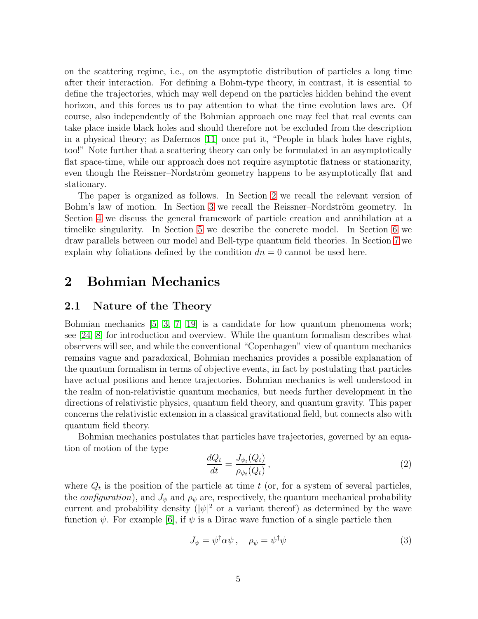on the scattering regime, i.e., on the asymptotic distribution of particles a long time after their interaction. For defining a Bohm-type theory, in contrast, it is essential to define the trajectories, which may well depend on the particles hidden behind the event horizon, and this forces us to pay attention to what the time evolution laws are. Of course, also independently of the Bohmian approach one may feel that real events can take place inside black holes and should therefore not be excluded from the description in a physical theory; as Dafermos [\[11\]](#page-21-2) once put it, "People in black holes have rights, too!" Note further that a scattering theory can only be formulated in an asymptotically flat space-time, while our approach does not require asymptotic flatness or stationarity, even though the Reissner–Nordström geometry happens to be asymptotically flat and stationary.

The paper is organized as follows. In Section [2](#page-4-0) we recall the relevant version of Bohm's law of motion. In Section [3](#page-6-0) we recall the Reissner–Nordström geometry. In Section [4](#page-8-0) we discuss the general framework of particle creation and annihilation at a timelike singularity. In Section [5](#page-10-0) we describe the concrete model. In Section [6](#page-18-0) we draw parallels between our model and Bell-type quantum field theories. In Section [7](#page-19-0) we explain why foliations defined by the condition  $dn = 0$  cannot be used here.

### <span id="page-4-0"></span>2 Bohmian Mechanics

### 2.1 Nature of the Theory

Bohmian mechanics [\[5,](#page-21-0) [3,](#page-21-3) [7,](#page-21-4) [19\]](#page-22-6) is a candidate for how quantum phenomena work; see [\[24,](#page-22-3) [8\]](#page-21-5) for introduction and overview. While the quantum formalism describes what observers will see, and while the conventional "Copenhagen" view of quantum mechanics remains vague and paradoxical, Bohmian mechanics provides a possible explanation of the quantum formalism in terms of objective events, in fact by postulating that particles have actual positions and hence trajectories. Bohmian mechanics is well understood in the realm of non-relativistic quantum mechanics, but needs further development in the directions of relativistic physics, quantum field theory, and quantum gravity. This paper concerns the relativistic extension in a classical gravitational field, but connects also with quantum field theory.

Bohmian mechanics postulates that particles have trajectories, governed by an equation of motion of the type

<span id="page-4-1"></span>
$$
\frac{dQ_t}{dt} = \frac{J_{\psi_t}(Q_t)}{\rho_{\psi_t}(Q_t)},\tag{2}
$$

where  $Q_t$  is the position of the particle at time t (or, for a system of several particles, the *configuration*), and  $J_{\psi}$  and  $\rho_{\psi}$  are, respectively, the quantum mechanical probability current and probability density  $(|\psi|^2)$  or a variant thereof) as determined by the wave function  $\psi$ . For example [\[6\]](#page-21-6), if  $\psi$  is a Dirac wave function of a single particle then

$$
J_{\psi} = \psi^{\dagger} \alpha \psi \,, \quad \rho_{\psi} = \psi^{\dagger} \psi \tag{3}
$$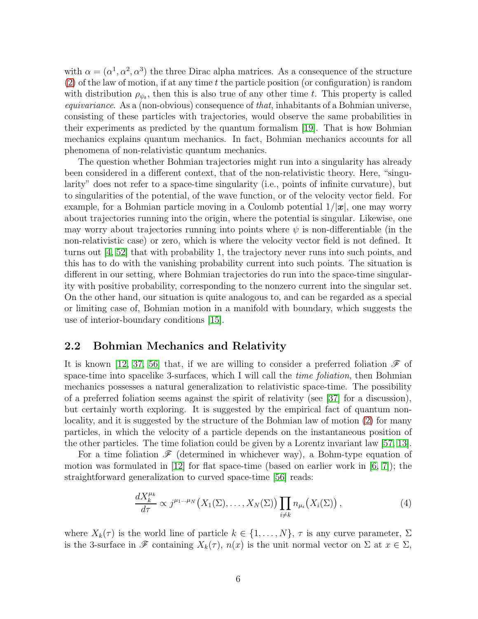with  $\alpha = (\alpha^1, \alpha^2, \alpha^3)$  the three Dirac alpha matrices. As a consequence of the structure  $(2)$  of the law of motion, if at any time t the particle position (or configuration) is random with distribution  $\rho_{\psi_t}$ , then this is also true of any other time t. This property is called equivariance. As a (non-obvious) consequence of that, inhabitants of a Bohmian universe, consisting of these particles with trajectories, would observe the same probabilities in their experiments as predicted by the quantum formalism [\[19\]](#page-22-6). That is how Bohmian mechanics explains quantum mechanics. In fact, Bohmian mechanics accounts for all phenomena of non-relativistic quantum mechanics.

The question whether Bohmian trajectories might run into a singularity has already been considered in a different context, that of the non-relativistic theory. Here, "singularity" does not refer to a space-time singularity (i.e., points of infinite curvature), but to singularities of the potential, of the wave function, or of the velocity vector field. For example, for a Bohmian particle moving in a Coulomb potential  $1/|x|$ , one may worry about trajectories running into the origin, where the potential is singular. Likewise, one may worry about trajectories running into points where  $\psi$  is non-differentiable (in the non-relativistic case) or zero, which is where the velocity vector field is not defined. It turns out [\[4,](#page-21-7) [52\]](#page-24-4) that with probability 1, the trajectory never runs into such points, and this has to do with the vanishing probability current into such points. The situation is different in our setting, where Bohmian trajectories do run into the space-time singularity with positive probability, corresponding to the nonzero current into the singular set. On the other hand, our situation is quite analogous to, and can be regarded as a special or limiting case of, Bohmian motion in a manifold with boundary, which suggests the use of interior-boundary conditions [\[15\]](#page-22-7).

### 2.2 Bohmian Mechanics and Relativity

It is known [\[12,](#page-21-1) [37,](#page-23-5) [56\]](#page-25-0) that, if we are willing to consider a preferred foliation  $\mathscr F$  of space-time into spacelike 3-surfaces, which I will call the *time foliation*, then Bohmian mechanics possesses a natural generalization to relativistic space-time. The possibility of a preferred foliation seems against the spirit of relativity (see [\[37\]](#page-23-5) for a discussion), but certainly worth exploring. It is suggested by the empirical fact of quantum nonlocality, and it is suggested by the structure of the Bohmian law of motion [\(2\)](#page-4-1) for many particles, in which the velocity of a particle depends on the instantaneous position of the other particles. The time foliation could be given by a Lorentz invariant law [\[57,](#page-25-1) [13\]](#page-21-8).

For a time foliation  $\mathscr F$  (determined in whichever way), a Bohm-type equation of motion was formulated in  $[12]$  for flat space-time (based on earlier work in  $[6, 7]$  $[6, 7]$ ); the straightforward generalization to curved space-time [\[56\]](#page-25-0) reads:

<span id="page-5-0"></span>
$$
\frac{dX_k^{\mu_k}}{d\tau} \propto j^{\mu_1 \dots \mu_N} \left( X_1(\Sigma), \dots, X_N(\Sigma) \right) \prod_{i \neq k} n_{\mu_i} \left( X_i(\Sigma) \right), \tag{4}
$$

where  $X_k(\tau)$  is the world line of particle  $k \in \{1, ..., N\}$ ,  $\tau$  is any curve parameter,  $\Sigma$ is the 3-surface in  $\mathscr F$  containing  $X_k(\tau)$ ,  $n(x)$  is the unit normal vector on  $\Sigma$  at  $x \in \Sigma$ ,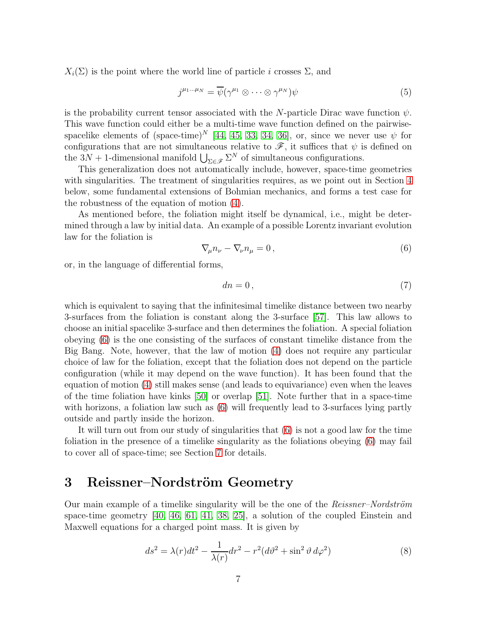$X_i(\Sigma)$  is the point where the world line of particle i crosses  $\Sigma$ , and

$$
j^{\mu_1\ldots\mu_N} = \overline{\psi}(\gamma^{\mu_1}\otimes\cdots\otimes\gamma^{\mu_N})\psi
$$
 (5)

is the probability current tensor associated with the N-particle Dirac wave function  $\psi$ . This wave function could either be a multi-time wave function defined on the pairwisespacelike elements of  $(\text{space-time})^N$  [\[44,](#page-24-5) [45,](#page-24-6) [33,](#page-23-6) [34,](#page-23-7) [36\]](#page-23-8), or, since we never use  $\psi$  for configurations that are not simultaneous relative to  $\mathscr{F}$ , it suffices that  $\psi$  is defined on the 3N + 1-dimensional manifold  $\bigcup_{\Sigma \in \mathscr{F}} \Sigma^N$  of simultaneous configurations.

This generalization does not automatically include, however, space-time geometries with singularities. The treatment of singularities requires, as we point out in Section [4](#page-8-0) below, some fundamental extensions of Bohmian mechanics, and forms a test case for the robustness of the equation of motion [\(4\)](#page-5-0).

As mentioned before, the foliation might itself be dynamical, i.e., might be determined through a law by initial data. An example of a possible Lorentz invariant evolution law for the foliation is

<span id="page-6-1"></span>
$$
\nabla_{\mu}n_{\nu} - \nabla_{\nu}n_{\mu} = 0, \qquad (6)
$$

or, in the language of differential forms,

$$
dn = 0\,,\tag{7}
$$

which is equivalent to saying that the infinitesimal timelike distance between two nearby 3-surfaces from the foliation is constant along the 3-surface [\[57\]](#page-25-1). This law allows to choose an initial spacelike 3-surface and then determines the foliation. A special foliation obeying [\(6\)](#page-6-1) is the one consisting of the surfaces of constant timelike distance from the Big Bang. Note, however, that the law of motion [\(4\)](#page-5-0) does not require any particular choice of law for the foliation, except that the foliation does not depend on the particle configuration (while it may depend on the wave function). It has been found that the equation of motion [\(4\)](#page-5-0) still makes sense (and leads to equivariance) even when the leaves of the time foliation have kinks [\[50\]](#page-24-7) or overlap [\[51\]](#page-24-8). Note further that in a space-time with horizons, a foliation law such as [\(6\)](#page-6-1) will frequently lead to 3-surfaces lying partly outside and partly inside the horizon.

It will turn out from our study of singularities that [\(6\)](#page-6-1) is not a good law for the time foliation in the presence of a timelike singularity as the foliations obeying [\(6\)](#page-6-1) may fail to cover all of space-time; see Section [7](#page-19-0) for details.

### <span id="page-6-0"></span>3 Reissner–Nordström Geometry

Our main example of a timelike singularity will be the one of the *Reissner–Nordström* space-time geometry [\[40,](#page-23-9) [46,](#page-24-9) [61,](#page-25-6) [41,](#page-23-10) [38,](#page-23-11) [25\]](#page-22-8), a solution of the coupled Einstein and Maxwell equations for a charged point mass. It is given by

<span id="page-6-2"></span>
$$
ds^2 = \lambda(r)dt^2 - \frac{1}{\lambda(r)}dr^2 - r^2(d\vartheta^2 + \sin^2\vartheta d\varphi^2)
$$
 (8)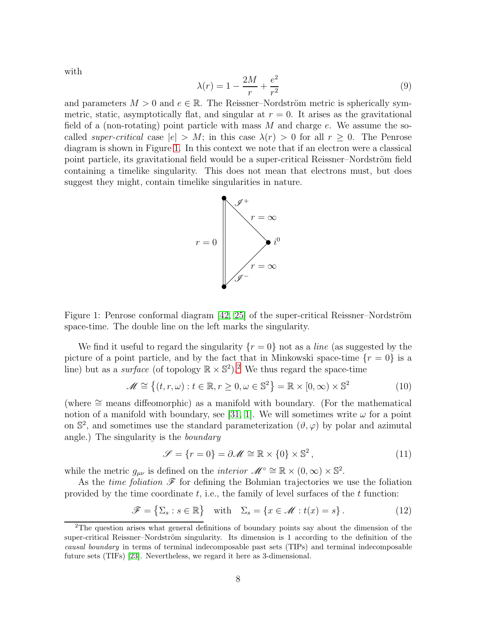$$
\lambda(r) = 1 - \frac{2M}{r} + \frac{e^2}{r^2}
$$
 (9)

and parameters  $M > 0$  and  $e \in \mathbb{R}$ . The Reissner–Nordström metric is spherically symmetric, static, asymptotically flat, and singular at  $r = 0$ . It arises as the gravitational field of a (non-rotating) point particle with mass  $M$  and charge  $e$ . We assume the socalled super-critical case  $|e| > M$ ; in this case  $\lambda(r) > 0$  for all  $r \geq 0$ . The Penrose diagram is shown in Figure [1.](#page-7-0) In this context we note that if an electron were a classical point particle, its gravitational field would be a super-critical Reissner–Nordström field containing a timelike singularity. This does not mean that electrons must, but does suggest they might, contain timelike singularities in nature.



<span id="page-7-0"></span>Figure 1: Penrose conformal diagram  $[42, 25]$  $[42, 25]$  of the super-critical Reissner–Nordström space-time. The double line on the left marks the singularity.

We find it useful to regard the singularity  $\{r=0\}$  not as a *line* (as suggested by the picture of a point particle, and by the fact that in Minkowski space-time  $\{r = 0\}$  is a line) but as a *surface* (of topology  $\mathbb{R} \times \mathbb{S}^2$  $\mathbb{R} \times \mathbb{S}^2$ ).<sup>2</sup> We thus regard the space-time

$$
\mathcal{M} \cong \left\{ (t, r, \omega) : t \in \mathbb{R}, r \ge 0, \omega \in \mathbb{S}^2 \right\} = \mathbb{R} \times [0, \infty) \times \mathbb{S}^2 \tag{10}
$$

(where ∼= means diffeomorphic) as a manifold with boundary. (For the mathematical notion of a manifold with boundary, see [\[31,](#page-23-12) [1\]](#page-21-9). We will sometimes write  $\omega$  for a point on  $\mathbb{S}^2$ , and sometimes use the standard parameterization  $(\vartheta, \varphi)$  by polar and azimutal angle.) The singularity is the boundary

$$
\mathcal{S} = \{r = 0\} = \partial \mathcal{M} \cong \mathbb{R} \times \{0\} \times \mathbb{S}^2, \tag{11}
$$

while the metric  $g_{\mu\nu}$  is defined on the *interior*  $\mathscr{M}^{\circ} \cong \mathbb{R} \times (0, \infty) \times \mathbb{S}^2$ .

As the *time foliation*  $\mathscr F$  for defining the Bohmian trajectories we use the foliation provided by the time coordinate  $t$ , i.e., the family of level surfaces of the  $t$  function:

$$
\mathscr{F} = \{ \Sigma_s : s \in \mathbb{R} \} \quad \text{with} \quad \Sigma_s = \{ x \in \mathscr{M} : t(x) = s \}. \tag{12}
$$

with

<span id="page-7-1"></span><sup>&</sup>lt;sup>2</sup>The question arises what general definitions of boundary points say about the dimension of the super-critical Reissner–Nordström singularity. Its dimension is 1 according to the definition of the causal boundary in terms of terminal indecomposable past sets (TIPs) and terminal indecomposable future sets (TIFs) [\[23\]](#page-22-9). Nevertheless, we regard it here as 3-dimensional.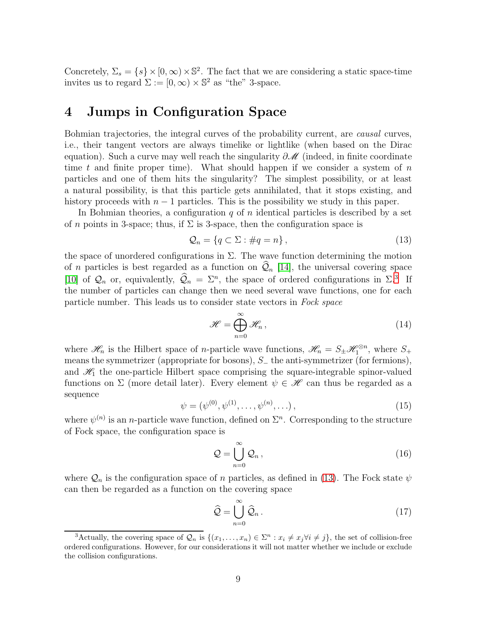Concretely,  $\Sigma_s = \{s\} \times [0, \infty) \times \mathbb{S}^2$ . The fact that we are considering a static space-time invites us to regard  $\Sigma := [0, \infty) \times \mathbb{S}^2$  as "the" 3-space.

### <span id="page-8-0"></span>4 Jumps in Configuration Space

Bohmian trajectories, the integral curves of the probability current, are *causal* curves, i.e., their tangent vectors are always timelike or lightlike (when based on the Dirac equation). Such a curve may well reach the singularity  $\partial \mathcal{M}$  (indeed, in finite coordinate time t and finite proper time). What should happen if we consider a system of  $n$ particles and one of them hits the singularity? The simplest possibility, or at least a natural possibility, is that this particle gets annihilated, that it stops existing, and history proceeds with  $n - 1$  particles. This is the possibility we study in this paper.

In Bohmian theories, a configuration  $q$  of n identical particles is described by a set of n points in 3-space; thus, if  $\Sigma$  is 3-space, then the configuration space is

<span id="page-8-2"></span>
$$
\mathcal{Q}_n = \{ q \subset \Sigma : \#q = n \},\tag{13}
$$

the space of unordered configurations in  $\Sigma$ . The wave function determining the motion of *n* particles is best regarded as a function on  $\mathcal{Q}_n$  [\[14\]](#page-21-10), the universal covering space [\[10\]](#page-21-11) of  $\mathcal{Q}_n$  or, equivalently,  $\mathcal{Q}_n = \Sigma^n$ , the space of ordered configurations in  $\Sigma^3$  $\Sigma^3$  If the number of particles can change then we need several wave functions, one for each particle number. This leads us to consider state vectors in Fock space

$$
\mathscr{H} = \bigoplus_{n=0}^{\infty} \mathscr{H}_n, \qquad (14)
$$

where  $\mathscr{H}_n$  is the Hilbert space of *n*-particle wave functions,  $\mathscr{H}_n = S_{\pm} \mathscr{H}_1^{\otimes n}$ , where  $S_{+}$ means the symmetrizer (appropriate for bosons),  $S_$  the anti-symmetrizer (for fermions), and  $\mathcal{H}_1$  the one-particle Hilbert space comprising the square-integrable spinor-valued functions on  $\Sigma$  (more detail later). Every element  $\psi \in \mathcal{H}$  can thus be regarded as a sequence

$$
\psi = (\psi^{(0)}, \psi^{(1)}, \dots, \psi^{(n)}, \dots), \tag{15}
$$

where  $\psi^{(n)}$  is an *n*-particle wave function, defined on  $\Sigma<sup>n</sup>$ . Corresponding to the structure of Fock space, the configuration space is

<span id="page-8-3"></span>
$$
\mathcal{Q} = \bigcup_{n=0}^{\infty} \mathcal{Q}_n, \qquad (16)
$$

where  $\mathcal{Q}_n$  is the configuration space of n particles, as defined in [\(13\)](#page-8-2). The Fock state  $\psi$ can then be regarded as a function on the covering space

$$
\widehat{\mathcal{Q}} = \bigcup_{n=0}^{\infty} \widehat{\mathcal{Q}}_n.
$$
\n(17)

<span id="page-8-1"></span><sup>&</sup>lt;sup>3</sup>Actually, the covering space of  $\mathcal{Q}_n$  is  $\{(x_1, \ldots, x_n) \in \Sigma^n : x_i \neq x_j \forall i \neq j\}$ , the set of collision-free ordered configurations. However, for our considerations it will not matter whether we include or exclude the collision configurations.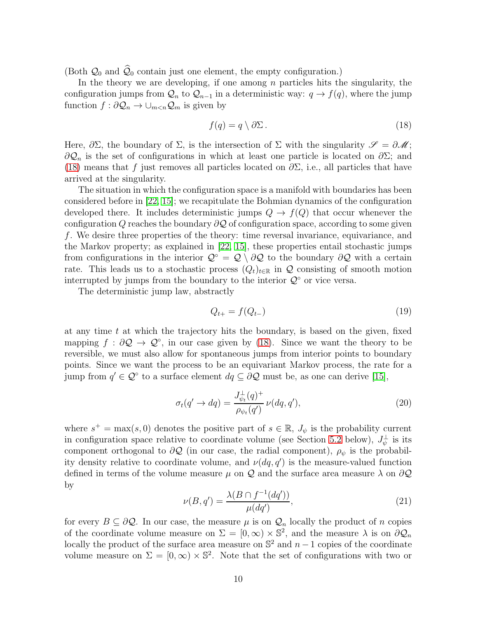(Both  $\mathcal{Q}_0$  and  $\widehat{\mathcal{Q}}_0$  contain just one element, the empty configuration.)

In the theory we are developing, if one among  $n$  particles hits the singularity, the configuration jumps from  $\mathcal{Q}_n$  to  $\mathcal{Q}_{n-1}$  in a deterministic way:  $q \to f(q)$ , where the jump function  $f : \partial \mathcal{Q}_n \to \cup_{m \leq n} \mathcal{Q}_m$  is given by

<span id="page-9-0"></span>
$$
f(q) = q \setminus \partial \Sigma. \tag{18}
$$

Here,  $\partial \Sigma$ , the boundary of  $\Sigma$ , is the intersection of  $\Sigma$  with the singularity  $\mathscr{S} = \partial \mathscr{M}$ ;  $\partial \mathcal{Q}_n$  is the set of configurations in which at least one particle is located on  $\partial \Sigma$ ; and [\(18\)](#page-9-0) means that f just removes all particles located on  $\partial \Sigma$ , i.e., all particles that have arrived at the singularity.

The situation in which the configuration space is a manifold with boundaries has been considered before in [\[22,](#page-22-5) [15\]](#page-22-7); we recapitulate the Bohmian dynamics of the configuration developed there. It includes deterministic jumps  $Q \to f(Q)$  that occur whenever the configuration Q reaches the boundary  $\partial \mathcal{Q}$  of configuration space, according to some given f. We desire three properties of the theory: time reversal invariance, equivariance, and the Markov property; as explained in [\[22,](#page-22-5) [15\]](#page-22-7), these properties entail stochastic jumps from configurations in the interior  $\mathcal{Q} \circ \mathcal{Q} \setminus \partial \mathcal{Q}$  to the boundary  $\partial \mathcal{Q}$  with a certain rate. This leads us to a stochastic process  $(Q_t)_{t\in\mathbb{R}}$  in Q consisting of smooth motion interrupted by jumps from the boundary to the interior  $\mathcal{Q}^{\circ}$  or vice versa.

The deterministic jump law, abstractly

<span id="page-9-1"></span>
$$
Q_{t+} = f(Q_{t-}) \tag{19}
$$

at any time  $t$  at which the trajectory hits the boundary, is based on the given, fixed mapping  $f : \partial \mathcal{Q} \to \mathcal{Q}^{\circ}$ , in our case given by [\(18\)](#page-9-0). Since we want the theory to be reversible, we must also allow for spontaneous jumps from interior points to boundary points. Since we want the process to be an equivariant Markov process, the rate for a jump from  $q' \in \mathcal{Q}^{\circ}$  to a surface element  $dq \subseteq \partial \mathcal{Q}$  must be, as one can derive [\[15\]](#page-22-7),

<span id="page-9-2"></span>
$$
\sigma_t(q' \to dq) = \frac{J_{\psi_t}^{\perp}(q)^+}{\rho_{\psi_t}(q')} \nu(dq, q'), \qquad (20)
$$

where  $s^+ = \max(s, 0)$  denotes the positive part of  $s \in \mathbb{R}$ ,  $J_{\psi}$  is the probability current in configuration space relative to coordinate volume (see Section [5.2](#page-11-0) below),  $J_{\psi}^{\perp}$  is its component orthogonal to  $\partial \mathcal{Q}$  (in our case, the radial component),  $\rho_{\psi}$  is the probability density relative to coordinate volume, and  $\nu(dq, q')$  is the measure-valued function defined in terms of the volume measure  $\mu$  on Q and the surface area measure  $\lambda$  on  $\partial \mathcal{Q}$ by

$$
\nu(B, q') = \frac{\lambda(B \cap f^{-1}(dq'))}{\mu(dq')},\tag{21}
$$

for every  $B \subseteq \partial \mathcal{Q}$ . In our case, the measure  $\mu$  is on  $\mathcal{Q}_n$  locally the product of n copies of the coordinate volume measure on  $\Sigma = [0, \infty) \times \mathbb{S}^2$ , and the measure  $\lambda$  is on  $\partial \mathcal{Q}_n$ locally the product of the surface area measure on  $\mathbb{S}^2$  and  $n-1$  copies of the coordinate volume measure on  $\Sigma = [0, \infty) \times \mathbb{S}^2$ . Note that the set of configurations with two or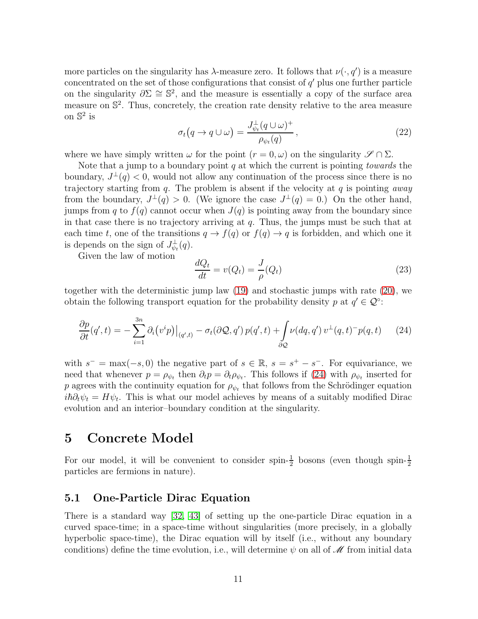more particles on the singularity has  $\lambda$ -measure zero. It follows that  $\nu(\cdot, q')$  is a measure concentrated on the set of those configurations that consist of  $q'$  plus one further particle on the singularity  $\partial \Sigma \cong \mathbb{S}^2$ , and the measure is essentially a copy of the surface area measure on  $\mathbb{S}^2$ . Thus, concretely, the creation rate density relative to the area measure on  $\mathbb{S}^2$  is

<span id="page-10-2"></span>
$$
\sigma_t(q \to q \cup \omega) = \frac{J_{\psi_t}^{\perp}(q \cup \omega)^+}{\rho_{\psi_t}(q)},
$$
\n(22)

where we have simply written  $\omega$  for the point  $(r = 0, \omega)$  on the singularity  $\mathscr{S} \cap \Sigma$ .

Note that a jump to a boundary point q at which the current is pointing *towards* the boundary,  $J^{\perp}(q) < 0$ , would not allow any continuation of the process since there is no trajectory starting from q. The problem is absent if the velocity at q is pointing away from the boundary,  $J^{\perp}(q) > 0$ . (We ignore the case  $J^{\perp}(q) = 0$ .) On the other hand, jumps from q to  $f(q)$  cannot occur when  $J(q)$  is pointing away from the boundary since in that case there is no trajectory arriving at  $q$ . Thus, the jumps must be such that at each time t, one of the transitions  $q \to f(q)$  or  $f(q) \to q$  is forbidden, and which one it is depends on the sign of  $J_{\psi_t}^{\perp}(q)$ .

Given the law of motion

<span id="page-10-3"></span>
$$
\frac{dQ_t}{dt} = v(Q_t) = \frac{J}{\rho}(Q_t)
$$
\n(23)

together with the deterministic jump law [\(19\)](#page-9-1) and stochastic jumps with rate [\(20\)](#page-9-2), we obtain the following transport equation for the probability density p at  $q' \in \mathcal{Q}^{\circ}$ :

<span id="page-10-1"></span>
$$
\frac{\partial p}{\partial t}(q',t) = -\sum_{i=1}^{3n} \partial_i (v^i p)|_{(q',t)} - \sigma_t(\partial \mathcal{Q}, q') p(q',t) + \int_{\partial \mathcal{Q}} \nu(dq, q') v^{\perp}(q, t)^{-} p(q, t) \tag{24}
$$

with  $s^- = \max(-s, 0)$  the negative part of  $s \in \mathbb{R}$ ,  $s = s^+ - s^-$ . For equivariance, we need that whenever  $p = \rho_{\psi_t}$  then  $\partial_t p = \partial_t \rho_{\psi_t}$ . This follows if [\(24\)](#page-10-1) with  $\rho_{\psi_t}$  inserted for p agrees with the continuity equation for  $\rho_{\psi_t}$  that follows from the Schrödinger equation  $i\hbar\partial_t\psi_t = H\psi_t$ . This is what our model achieves by means of a suitably modified Dirac evolution and an interior–boundary condition at the singularity.

### <span id="page-10-0"></span>5 Concrete Model

For our model, it will be convenient to consider spin- $\frac{1}{2}$  bosons (even though spin- $\frac{1}{2}$ ) particles are fermions in nature).

### 5.1 One-Particle Dirac Equation

There is a standard way [\[32,](#page-23-13) [43\]](#page-24-11) of setting up the one-particle Dirac equation in a curved space-time; in a space-time without singularities (more precisely, in a globally hyperbolic space-time), the Dirac equation will by itself (i.e., without any boundary conditions) define the time evolution, i.e., will determine  $\psi$  on all of  $\mathscr M$  from initial data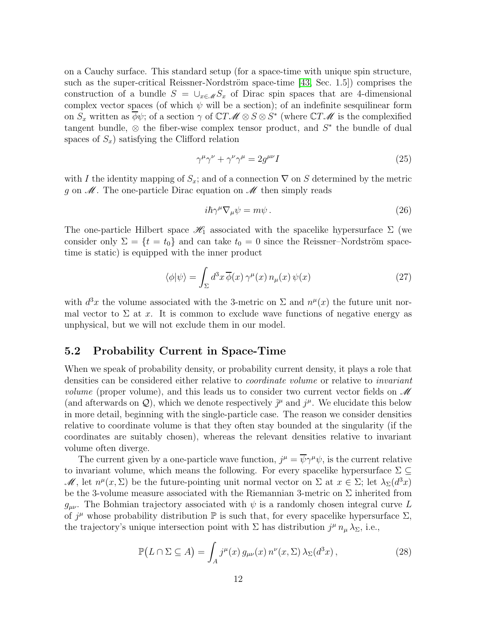on a Cauchy surface. This standard setup (for a space-time with unique spin structure, such as the super-critical Reissner-Nordström space-time  $[43, Sec. 1.5]$  comprises the construction of a bundle  $S = \bigcup_{x \in \mathcal{M}} S_x$  of Dirac spin spaces that are 4-dimensional complex vector spaces (of which  $\psi$  will be a section); of an indefinite sesquilinear form on  $S_x$  written as  $\overline{\phi}\psi$ ; of a section  $\gamma$  of  $\mathbb{C}T\mathscr{M} \otimes S \otimes S^*$  (where  $\mathbb{C}T\mathscr{M}$  is the complexified tangent bundle,  $\otimes$  the fiber-wise complex tensor product, and  $S^*$  the bundle of dual spaces of  $S_x$ ) satisfying the Clifford relation

$$
\gamma^{\mu}\gamma^{\nu} + \gamma^{\nu}\gamma^{\mu} = 2g^{\mu\nu}I
$$
\n(25)

with I the identity mapping of  $S_x$ ; and of a connection  $\nabla$  on S determined by the metric g on  $\mathcal M$ . The one-particle Dirac equation on  $\mathcal M$  then simply reads

$$
i\hbar\gamma^{\mu}\nabla_{\mu}\psi = m\psi. \tag{26}
$$

The one-particle Hilbert space  $\mathcal{H}_1$  associated with the spacelike hypersurface  $\Sigma$  (we consider only  $\Sigma = \{t = t_0\}$  and can take  $t_0 = 0$  since the Reissner–Nordström spacetime is static) is equipped with the inner product

$$
\langle \phi | \psi \rangle = \int_{\Sigma} d^3x \, \overline{\phi}(x) \, \gamma^{\mu}(x) \, n_{\mu}(x) \, \psi(x) \tag{27}
$$

with  $d^3x$  the volume associated with the 3-metric on  $\Sigma$  and  $n^{\mu}(x)$  the future unit normal vector to  $\Sigma$  at x. It is common to exclude wave functions of negative energy as unphysical, but we will not exclude them in our model.

### <span id="page-11-0"></span>5.2 Probability Current in Space-Time

When we speak of probability density, or probability current density, it plays a role that densities can be considered either relative to *coordinate volume* or relative to *invariant volume* (proper volume), and this leads us to consider two current vector fields on  $\mathcal M$ (and afterwards on  $Q$ ), which we denote respectively  $\tilde{j}^{\mu}$  and  $j^{\mu}$ . We elucidate this below in more detail, beginning with the single-particle case. The reason we consider densities relative to coordinate volume is that they often stay bounded at the singularity (if the coordinates are suitably chosen), whereas the relevant densities relative to invariant volume often diverge.

The current given by a one-particle wave function,  $j^{\mu} = \overline{\psi} \gamma^{\mu} \psi$ , is the current relative to invariant volume, which means the following. For every spacelike hypersurface  $\Sigma \subseteq$ M, let  $n^{\mu}(x, \Sigma)$  be the future-pointing unit normal vector on  $\Sigma$  at  $x \in \Sigma$ ; let  $\lambda_{\Sigma}(d^3x)$ be the 3-volume measure associated with the Riemannian 3-metric on  $\Sigma$  inherited from  $g_{\mu\nu}$ . The Bohmian trajectory associated with  $\psi$  is a randomly chosen integral curve L of  $j^{\mu}$  whose probability distribution  $\mathbb P$  is such that, for every spacelike hypersurface  $\Sigma$ , the trajectory's unique intersection point with  $\Sigma$  has distribution  $j^{\mu} n_{\mu} \lambda_{\Sigma}$ , i.e.,

<span id="page-11-1"></span>
$$
\mathbb{P}(L \cap \Sigma \subseteq A) = \int_{A} j^{\mu}(x) g_{\mu\nu}(x) n^{\nu}(x, \Sigma) \lambda_{\Sigma}(d^{3}x), \qquad (28)
$$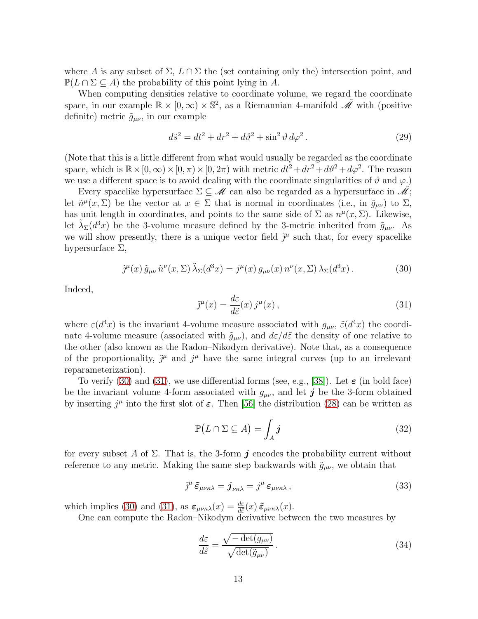where A is any subset of  $\Sigma$ ,  $L \cap \Sigma$  the (set containing only the) intersection point, and  $\mathbb{P}(L \cap \Sigma \subseteq A)$  the probability of this point lying in A.

When computing densities relative to coordinate volume, we regard the coordinate space, in our example  $\mathbb{R} \times [0, \infty) \times \mathbb{S}^2$ , as a Riemannian 4-manifold  $\tilde{\mathcal{M}}$  with (positive definite) metric  $\tilde{g}_{\mu\nu}$ , in our example

<span id="page-12-2"></span>
$$
d\tilde{s}^2 = dt^2 + dr^2 + d\vartheta^2 + \sin^2\vartheta \, d\varphi^2. \tag{29}
$$

(Note that this is a little different from what would usually be regarded as the coordinate space, which is  $\mathbb{R} \times [0, \infty) \times [0, \pi) \times [0, 2\pi)$  with metric  $dt^2 + dr^2 + d\vartheta^2 + d\varphi^2$ . The reason we use a different space is to avoid dealing with the coordinate singularities of  $\vartheta$  and  $\varphi$ .)

Every spacelike hypersurface  $\Sigma \subseteq M$  can also be regarded as a hypersurface in  $M$ ; let  $\tilde{n}^{\mu}(x,\Sigma)$  be the vector at  $x \in \Sigma$  that is normal in coordinates (i.e., in  $\tilde{g}_{\mu\nu}$ ) to  $\Sigma$ , has unit length in coordinates, and points to the same side of  $\Sigma$  as  $n^{\mu}(x,\Sigma)$ . Likewise, let  $\tilde{\lambda}_{\Sigma}(d^3x)$  be the 3-volume measure defined by the 3-metric inherited from  $\tilde{g}_{\mu\nu}$ . As we will show presently, there is a unique vector field  $\tilde{\jmath}^{\mu}$  such that, for every spacelike hypersurface  $\Sigma$ ,

<span id="page-12-0"></span>
$$
\tilde{j}^{\mu}(x) \tilde{g}_{\mu\nu} \tilde{n}^{\nu}(x,\Sigma) \tilde{\lambda}_{\Sigma}(d^3x) = j^{\mu}(x) g_{\mu\nu}(x) n^{\nu}(x,\Sigma) \lambda_{\Sigma}(d^3x). \tag{30}
$$

Indeed,

<span id="page-12-1"></span>
$$
\tilde{j}^{\mu}(x) = \frac{d\varepsilon}{d\tilde{\varepsilon}}(x) j^{\mu}(x), \qquad (31)
$$

where  $\varepsilon(d^4x)$  is the invariant 4-volume measure associated with  $g_{\mu\nu}$ ,  $\tilde{\varepsilon}(d^4x)$  the coordinate 4-volume measure (associated with  $\tilde{g}_{\mu\nu}$ ), and  $d\varepsilon/d\tilde{\varepsilon}$  the density of one relative to the other (also known as the Radon–Nikodym derivative). Note that, as a consequence of the proportionality,  $\tilde{\jmath}^{\mu}$  and  $j^{\mu}$  have the same integral curves (up to an irrelevant reparameterization).

To verify [\(30\)](#page-12-0) and [\(31\)](#page-12-1), we use differential forms (see, e.g., [\[38\]](#page-23-11)). Let  $\varepsilon$  (in bold face) be the invariant volume 4-form associated with  $g_{\mu\nu}$ , and let j be the 3-form obtained by inserting  $j^{\mu}$  into the first slot of  $\varepsilon$ . Then [\[56\]](#page-25-0) the distribution [\(28\)](#page-11-1) can be written as

$$
\mathbb{P}(L \cap \Sigma \subseteq A) = \int_A \boldsymbol{j} \tag{32}
$$

for every subset A of  $\Sigma$ . That is, the 3-form j encodes the probability current without reference to any metric. Making the same step backwards with  $\tilde{g}_{\mu\nu}$ , we obtain that

$$
\tilde{j}^{\mu}\tilde{\varepsilon}_{\mu\nu\kappa\lambda} = \boldsymbol{j}_{\nu\kappa\lambda} = j^{\mu}\,\varepsilon_{\mu\nu\kappa\lambda}\,,\tag{33}
$$

which implies [\(30\)](#page-12-0) and [\(31\)](#page-12-1), as  $\varepsilon_{\mu\nu\kappa\lambda}(x) = \frac{d\varepsilon}{d\tilde{\varepsilon}}(x) \tilde{\varepsilon}_{\mu\nu\kappa\lambda}(x)$ .

One can compute the Radon–Nikodym derivative between the two measures by

$$
\frac{d\varepsilon}{d\tilde{\varepsilon}} = \frac{\sqrt{-\det(g_{\mu\nu})}}{\sqrt{\det(\tilde{g}_{\mu\nu})}}.
$$
\n(34)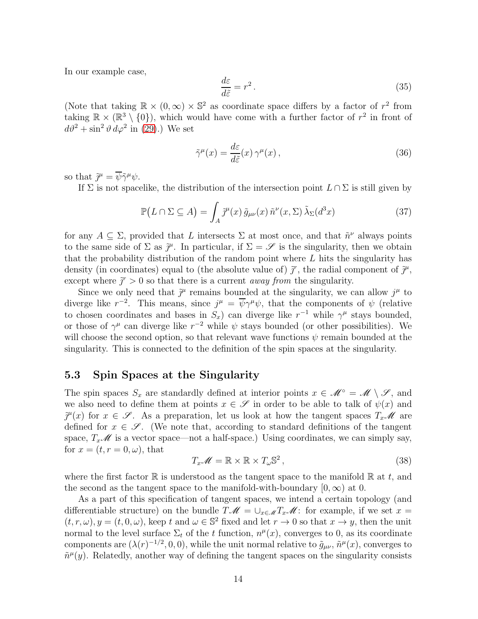In our example case,

$$
\frac{d\varepsilon}{d\tilde{\varepsilon}} = r^2. \tag{35}
$$

(Note that taking  $\mathbb{R} \times (0, \infty) \times \mathbb{S}^2$  as coordinate space differs by a factor of  $r^2$  from taking  $\mathbb{R} \times (\mathbb{R}^3 \setminus \{0\})$ , which would have come with a further factor of  $r^2$  in front of  $d\vartheta^2 + \sin^2 \vartheta \, d\varphi^2$  in [\(29\)](#page-12-2).) We set

$$
\tilde{\gamma}^{\mu}(x) = \frac{d\varepsilon}{d\tilde{\varepsilon}}(x)\,\gamma^{\mu}(x)\,,\tag{36}
$$

so that  $\tilde{j}^{\mu} = \overline{\psi} \tilde{\gamma}^{\mu} \psi$ .

If  $\Sigma$  is not spacelike, the distribution of the intersection point  $L \cap \Sigma$  is still given by

$$
\mathbb{P}(L \cap \Sigma \subseteq A) = \int_A \tilde{\jmath}^{\mu}(x) \, \tilde{g}_{\mu\nu}(x) \, \tilde{n}^{\nu}(x, \Sigma) \, \tilde{\lambda}_{\Sigma}(d^3x) \tag{37}
$$

for any  $A \subseteq \Sigma$ , provided that L intersects  $\Sigma$  at most once, and that  $\tilde{n}^{\nu}$  always points to the same side of  $\Sigma$  as  $\tilde{j}^{\mu}$ . In particular, if  $\Sigma = \mathscr{S}$  is the singularity, then we obtain that the probability distribution of the random point where L hits the singularity has density (in coordinates) equal to (the absolute value of)  $\tilde{j}^r$ , the radial component of  $\tilde{j}^{\mu}$ , except where  $\tilde{j}^r > 0$  so that there is a current *away from* the singularity.

Since we only need that  $\tilde{j}^{\mu}$  remains bounded at the singularity, we can allow  $j^{\mu}$  to diverge like  $r^{-2}$ . This means, since  $j^{\mu} = \overline{\psi} \gamma^{\mu} \psi$ , that the components of  $\psi$  (relative to chosen coordinates and bases in  $S_x$ ) can diverge like  $r^{-1}$  while  $\gamma^{\mu}$  stays bounded, or those of  $\gamma^{\mu}$  can diverge like  $r^{-2}$  while  $\psi$  stays bounded (or other possibilities). We will choose the second option, so that relevant wave functions  $\psi$  remain bounded at the singularity. This is connected to the definition of the spin spaces at the singularity.

### 5.3 Spin Spaces at the Singularity

The spin spaces  $S_x$  are standardly defined at interior points  $x \in \mathcal{M} \circ = \mathcal{M} \setminus \mathcal{S}$ , and we also need to define them at points  $x \in \mathscr{S}$  in order to be able to talk of  $\psi(x)$  and  $\tilde{\jmath}^{\mu}(x)$  for  $x \in \mathscr{S}$ . As a preparation, let us look at how the tangent spaces  $T_x\mathscr{M}$  are defined for  $x \in \mathscr{S}$ . (We note that, according to standard definitions of the tangent space,  $T_x\mathscr{M}$  is a vector space—not a half-space.) Using coordinates, we can simply say, for  $x = (t, r = 0, \omega)$ , that

$$
T_x \mathscr{M} = \mathbb{R} \times \mathbb{R} \times T_\omega \mathbb{S}^2, \qquad (38)
$$

where the first factor  $\mathbb R$  is understood as the tangent space to the manifold  $\mathbb R$  at t, and the second as the tangent space to the manifold-with-boundary  $[0, \infty)$  at 0.

As a part of this specification of tangent spaces, we intend a certain topology (and differentiable structure) on the bundle  $T\mathscr{M} = \bigcup_{x\in\mathscr{M}} T_x\mathscr{M}$ : for example, if we set  $x =$  $(t, r, \omega), y = (t, 0, \omega)$ , keep t and  $\omega \in \mathbb{S}^2$  fixed and let  $r \to 0$  so that  $x \to y$ , then the unit normal to the level surface  $\Sigma_t$  of the t function,  $n^{\mu}(x)$ , converges to 0, as its coordinate components are  $(\lambda(r)^{-1/2}, 0, 0)$ , while the unit normal relative to  $\tilde{g}_{\mu\nu}, \tilde{n}^{\mu}(x)$ , converges to  $\tilde{n}^{\mu}(y)$ . Relatedly, another way of defining the tangent spaces on the singularity consists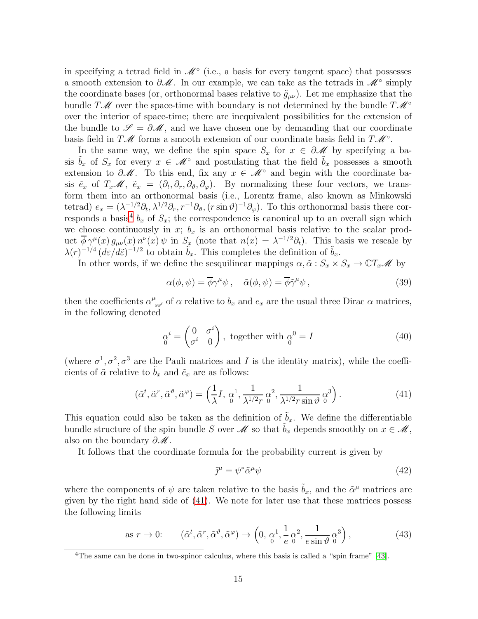in specifying a tetrad field in  $\mathscr{M}^\circ$  (i.e., a basis for every tangent space) that possesses a smooth extension to  $\partial M$ . In our example, we can take as the tetrads in  $M^{\circ}$  simply the coordinate bases (or, orthonormal bases relative to  $\tilde{g}_{\mu\nu}$ ). Let me emphasize that the bundle T $\mathcal{M}$  over the space-time with boundary is not determined by the bundle  $T\mathcal{M}^{\circ}$ over the interior of space-time; there are inequivalent possibilities for the extension of the bundle to  $\mathscr{S} = \partial \mathscr{M}$ , and we have chosen one by demanding that our coordinate basis field in  $T\mathscr{M}$  forms a smooth extension of our coordinate basis field in  $T\mathscr{M}^{\circ}$ .

In the same way, we define the spin space  $S_x$  for  $x \in \partial \mathcal{M}$  by specifying a basis  $\tilde{b}_x$  of  $S_x$  for every  $x \in \mathcal{M}^\circ$  and postulating that the field  $\tilde{b}_x$  possesses a smooth extension to  $\partial M$ . To this end, fix any  $x \in M^{\circ}$  and begin with the coordinate basis  $\tilde{e}_x$  of  $T_x\mathscr{M}, \tilde{e}_x = (\partial_t, \partial_r, \partial_\vartheta, \partial_\varphi)$ . By normalizing these four vectors, we transform them into an orthonormal basis (i.e., Lorentz frame, also known as Minkowski tetrad)  $e_x = (\lambda^{-1/2}\partial_t, \lambda^{1/2}\partial_r, r^{-1}\partial_\vartheta, (r\sin\vartheta)^{-1}\partial_\varphi)$ . To this orthonormal basis there cor-responds a basis<sup>[4](#page-14-0)</sup>  $b_x$  of  $S_x$ ; the correspondence is canonical up to an overall sign which we choose continuously in x;  $b_x$  is an orthonormal basis relative to the scalar product  $\overline{\phi} \gamma^{\mu}(x) g_{\mu\nu}(x) n^{\nu}(x) \psi$  in  $S_x$  (note that  $n(x) = \lambda^{-1/2} \partial_t$ ). This basis we rescale by  $\lambda(r)^{-1/4}$   $(d\varepsilon/d\tilde{\varepsilon})^{-1/2}$  to obtain  $\tilde{b}_x$ . This completes the definition of  $\tilde{b}_x$ .

In other words, if we define the sesquilinear mappings  $\alpha, \tilde{\alpha}: S_x \times S_x \to \mathbb{C}T_x\mathscr{M}$  by

$$
\alpha(\phi, \psi) = \overline{\phi}\gamma^{\mu}\psi \,, \quad \tilde{\alpha}(\phi, \psi) = \overline{\phi}\tilde{\gamma}^{\mu}\psi \,, \tag{39}
$$

then the coefficients  $\alpha^{\mu}_{ss'}$  of  $\alpha$  relative to  $b_x$  and  $e_x$  are the usual three Dirac  $\alpha$  matrices, in the following denoted

$$
\alpha^i = \begin{pmatrix} 0 & \sigma^i \\ \sigma^i & 0 \end{pmatrix}, \text{ together with } \alpha^0 = I
$$
 (40)

(where  $\sigma^1$ ,  $\sigma^2$ ,  $\sigma^3$  are the Pauli matrices and I is the identity matrix), while the coefficients of  $\tilde{\alpha}$  relative to  $b_x$  and  $\tilde{e}_x$  are as follows:

<span id="page-14-1"></span>
$$
(\tilde{\alpha}^t, \tilde{\alpha}^r, \tilde{\alpha}^\vartheta, \tilde{\alpha}^\varphi) = \left(\frac{1}{\lambda}I, \, \alpha^1, \, \frac{1}{\lambda^{1/2}r} \, \alpha^2, \, \frac{1}{\lambda^{1/2}r \sin \vartheta} \, \alpha^3\right). \tag{41}
$$

This equation could also be taken as the definition of  $\tilde{b}_x$ . We define the differentiable bundle structure of the spin bundle S over  $\mathscr M$  so that  $b_x$  depends smoothly on  $x \in \mathscr M$ , also on the boundary  $\partial \mathcal{M}$ .

It follows that the coordinate formula for the probability current is given by

$$
\tilde{\jmath}^{\mu} = \psi^* \tilde{\alpha}^{\mu} \psi \tag{42}
$$

where the components of  $\psi$  are taken relative to the basis  $\tilde{b}_x$ , and the  $\tilde{\alpha}^{\mu}$  matrices are given by the right hand side of [\(41\)](#page-14-1). We note for later use that these matrices possess the following limits

as 
$$
r \to 0
$$
:  $(\tilde{\alpha}^t, \tilde{\alpha}^r, \tilde{\alpha}^\vartheta, \tilde{\alpha}^\varphi) \to \left(0, \frac{\alpha^1}{6}, \frac{1}{e} \frac{\alpha^2}{6}, \frac{1}{e \sin \vartheta} \frac{\alpha^3}{6}\right),$  (43)

<span id="page-14-0"></span><sup>&</sup>lt;sup>4</sup>The same can be done in two-spinor calculus, where this basis is called a "spin frame" [\[43\]](#page-24-11).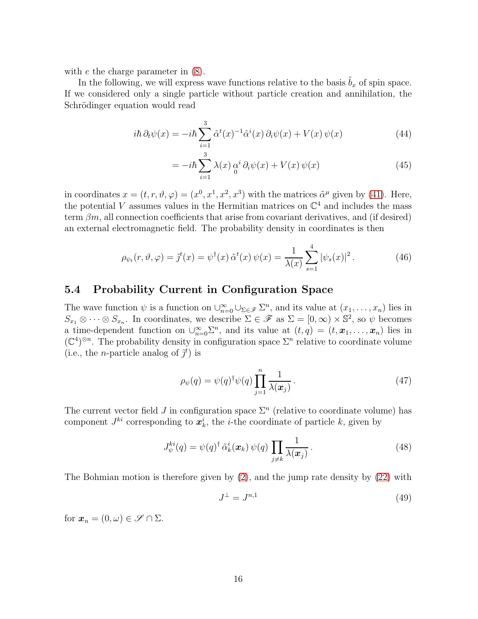with *e* the charge parameter in  $(8)$ .

In the following, we will express wave functions relative to the basis  $\tilde{b}_x$  of spin space. If we considered only a single particle without particle creation and annihilation, the Schrödinger equation would read

$$
i\hbar \partial_t \psi(x) = -i\hbar \sum_{i=1}^3 \tilde{\alpha}^t(x)^{-1} \tilde{\alpha}^i(x) \partial_i \psi(x) + V(x) \psi(x) \tag{44}
$$

$$
= -i\hbar \sum_{i=1}^{3} \lambda(x) \, \alpha^{i} \, \partial_{i} \psi(x) + V(x) \, \psi(x) \tag{45}
$$

in coordinates  $x = (t, r, \vartheta, \varphi) = (x^0, x^1, x^2, x^3)$  with the matrices  $\tilde{\alpha}^{\mu}$  given by [\(41\)](#page-14-1). Here, the potential V assumes values in the Hermitian matrices on  $\mathbb{C}^4$  and includes the mass term  $\beta m$ , all connection coefficients that arise from covariant derivatives, and (if desired) an external electromagnetic field. The probability density in coordinates is then

$$
\rho_{\psi_t}(r,\vartheta,\varphi) = \tilde{\jmath}^t(x) = \psi^\dagger(x) \,\tilde{\alpha}^t(x) \,\psi(x) = \frac{1}{\lambda(x)} \sum_{s=1}^4 |\psi_s(x)|^2 \,. \tag{46}
$$

### 5.4 Probability Current in Configuration Space

The wave function  $\psi$  is a function on  $\bigcup_{n=0}^{\infty} \bigcup_{\Sigma \in \mathscr{F}} \Sigma^n$ , and its value at  $(x_1, \ldots, x_n)$  lies in  $S_{x_1} \otimes \cdots \otimes S_{x_n}$ . In coordinates, we describe  $\Sigma \in \mathscr{F}$  as  $\Sigma = [0, \infty) \times \mathbb{S}^2$ , so  $\psi$  becomes a time-dependent function on  $\cup_{n=0}^{\infty} \Sigma^{n}$ , and its value at  $(t, q) = (t, x_1, \ldots, x_n)$  lies in  $(\mathbb{C}^4)^{\otimes n}$ . The probability density in configuration space  $\Sigma^n$  relative to coordinate volume (i.e., the *n*-particle analog of  $\tilde{j}^t$ ) is

$$
\rho_{\psi}(q) = \psi(q)^{\dagger} \psi(q) \prod_{j=1}^{n} \frac{1}{\lambda(\boldsymbol{x}_{j})}.
$$
\n(47)

The current vector field J in configuration space  $\Sigma<sup>n</sup>$  (relative to coordinate volume) has component  $J^{ki}$  corresponding to  $\boldsymbol{x}_k^i$ , the *i*-the coordinate of particle *k*, given by

$$
J_{\psi}^{ki}(q) = \psi(q)^{\dagger} \tilde{\alpha}_k^i(\boldsymbol{x}_k) \psi(q) \prod_{j \neq k} \frac{1}{\lambda(\boldsymbol{x}_j)}.
$$
 (48)

The Bohmian motion is therefore given by [\(2\)](#page-4-1), and the jump rate density by [\(22\)](#page-10-2) with

$$
J^{\perp} = J^{n,1} \tag{49}
$$

for  $\mathbf{x}_n = (0, \omega) \in \mathscr{S} \cap \Sigma$ .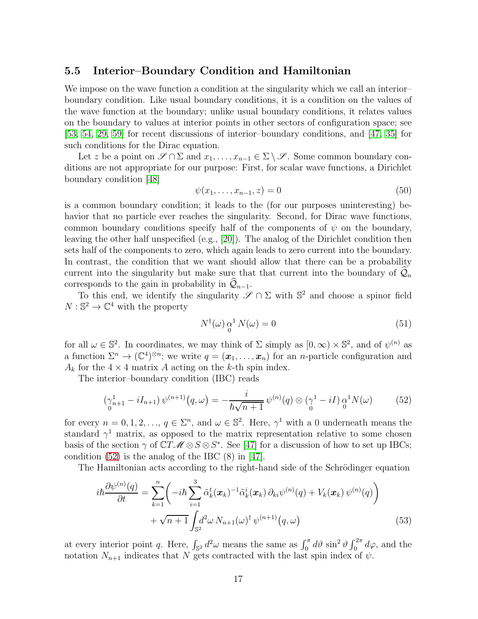### 5.5 Interior–Boundary Condition and Hamiltonian

We impose on the wave function a condition at the singularity which we call an interior– boundary condition. Like usual boundary conditions, it is a condition on the values of the wave function at the boundary; unlike usual boundary conditions, it relates values on the boundary to values at interior points in other sectors of configuration space; see [\[53,](#page-24-1) [54,](#page-24-2) [29,](#page-23-2) [59\]](#page-25-5) for recent discussions of interior–boundary conditions, and [\[47,](#page-24-3) [35\]](#page-23-3) for such conditions for the Dirac equation.

Let z be a point on  $\mathscr{S} \cap \Sigma$  and  $x_1, \ldots, x_{n-1} \in \Sigma \setminus \mathscr{S}$ . Some common boundary conditions are not appropriate for our purpose: First, for scalar wave functions, a Dirichlet boundary condition [\[48\]](#page-24-0)

$$
\psi(x_1, \dots, x_{n-1}, z) = 0 \tag{50}
$$

is a common boundary condition; it leads to the (for our purposes uninteresting) behavior that no particle ever reaches the singularity. Second, for Dirac wave functions, common boundary conditions specify half of the components of  $\psi$  on the boundary, leaving the other half unspecified (e.g., [\[20\]](#page-22-10)). The analog of the Dirichlet condition then sets half of the components to zero, which again leads to zero current into the boundary. In contrast, the condition that we want should allow that there can be a probability current into the singularity but make sure that that current into the boundary of  $\mathcal{Q}_n$ corresponds to the gain in probability in  $\mathcal{Q}_{n-1}$ .

To this end, we identify the singularity  $\mathscr{S} \cap \Sigma$  with  $\mathbb{S}^2$  and choose a spinor field  $N: \mathbb{S}^2 \to \mathbb{C}^4$  with the property

<span id="page-16-1"></span>
$$
N^{\dagger}(\omega) \underset{0}{\alpha}^{1} N(\omega) = 0 \tag{51}
$$

for all  $\omega \in \mathbb{S}^2$ . In coordinates, we may think of  $\Sigma$  simply as  $[0, \infty) \times \mathbb{S}^2$ , and of  $\psi^{(n)}$  as a function  $\Sigma^n \to (\mathbb{C}^4)^{\otimes n}$ ; we write  $q = (\mathbf{x}_1, \ldots, \mathbf{x}_n)$  for an *n*-particle configuration and  $A_k$  for the  $4 \times 4$  matrix A acting on the k-th spin index.

The interior–boundary condition (IBC) reads

<span id="page-16-0"></span>
$$
\left(\gamma_{n+1}^1 - iI_{n+1}\right)\psi^{(n+1)}(q,\omega) = -\frac{i}{\hbar\sqrt{n+1}}\psi^{(n)}(q)\otimes\left(\gamma^1 - iI\right)\underset{0}{\alpha^1}N(\omega) \tag{52}
$$

for every  $n = 0, 1, 2, \ldots, q \in \Sigma<sup>n</sup>$ , and  $\omega \in \mathbb{S}^2$ . Here,  $\gamma<sup>1</sup>$  with a 0 underneath means the standard  $\gamma^1$  matrix, as opposed to the matrix representation relative to some chosen basis of the section  $\gamma$  of  $\mathbb{C}T\mathscr{M}\otimes S\otimes S^*$ . See [\[47\]](#page-24-3) for a discussion of how to set up IBCs; condition [\(52\)](#page-16-0) is the analog of the IBC (8) in [\[47\]](#page-24-3).

The Hamiltonian acts according to the right-hand side of the Schrödinger equation

$$
i\hbar \frac{\partial \psi^{(n)}(q)}{\partial t} = \sum_{k=1}^{n} \left( -i\hbar \sum_{i=1}^{3} \tilde{\alpha}_{k}^{t}(\boldsymbol{x}_{k})^{-1} \tilde{\alpha}_{k}^{i}(\boldsymbol{x}_{k}) \partial_{ki} \psi^{(n)}(q) + V_{k}(\boldsymbol{x}_{k}) \psi^{(n)}(q) \right) + \sqrt{n+1} \int_{\mathbb{S}^{2}} d^{2} \omega N_{n+1}(\omega)^{\dagger} \psi^{(n+1)}(q,\omega)
$$
(53)

at every interior point q. Here,  $\int_{\mathbb{S}^2} d^2\omega$  means the same as  $\int_0^{\pi} d\vartheta \sin^2 \vartheta \int_0^{2\pi} d\varphi$ , and the notation  $N_{n+1}$  indicates that N gets contracted with the last spin index of  $\psi$ .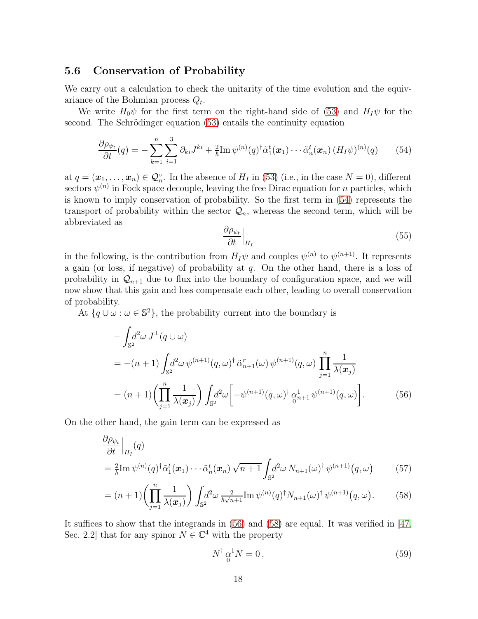#### 5.6 Conservation of Probability

We carry out a calculation to check the unitarity of the time evolution and the equivariance of the Bohmian process  $Q_t$ .

We write  $H_0\psi$  for the first term on the right-hand side of [\(53\)](#page-16-1) and  $H_I\psi$  for the second. The Schrödinger equation [\(53\)](#page-16-1) entails the continuity equation

<span id="page-17-0"></span>
$$
\frac{\partial \rho_{\psi_t}}{\partial t}(q) = -\sum_{k=1}^n \sum_{i=1}^3 \partial_{ki} J^{ki} + \frac{2}{\hbar} \text{Im} \, \psi^{(n)}(q)^\dagger \tilde{\alpha}_1^t(\boldsymbol{x}_1) \cdots \tilde{\alpha}_n^t(\boldsymbol{x}_n) \left( H_I \psi \right)^{(n)}(q) \tag{54}
$$

at  $q = (\boldsymbol{x}_1, \dots, \boldsymbol{x}_n) \in \mathcal{Q}_n^{\circ}$ . In the absence of  $H_I$  in [\(53\)](#page-16-1) (i.e., in the case  $N = 0$ ), different sectors  $\psi^{(n)}$  in Fock space decouple, leaving the free Dirac equation for n particles, which is known to imply conservation of probability. So the first term in [\(54\)](#page-17-0) represents the transport of probability within the sector  $\mathcal{Q}_n$ , whereas the second term, which will be abbreviated as

<span id="page-17-1"></span>
$$
\left. \frac{\partial \rho_{\psi_t}}{\partial t} \right|_{H_I} \tag{55}
$$

in the following, is the contribution from  $H_I\psi$  and couples  $\psi^{(n)}$  to  $\psi^{(n+1)}$ . It represents a gain (or loss, if negative) of probability at  $q$ . On the other hand, there is a loss of probability in  $\mathcal{Q}_{n+1}$  due to flux into the boundary of configuration space, and we will now show that this gain and loss compensate each other, leading to overall conservation of probability.

At  $\{q \cup \omega : \omega \in \mathbb{S}^2\}$ , the probability current into the boundary is

$$
-\int_{\mathbb{S}^2} d^2\omega J^{\perp}(q \cup \omega)
$$
  
= -(n+1)\int\_{\mathbb{S}^2} d^2\omega \psi^{(n+1)}(q, \omega)^{\dagger} \tilde{\alpha}\_{n+1}^r(\omega) \psi^{(n+1)}(q, \omega) \prod\_{j=1}^n \frac{1}{\lambda(\boldsymbol{x}\_j)}  
=(n+1)\left(\prod\_{j=1}^n \frac{1}{\lambda(\boldsymbol{x}\_j)}\right) \int\_{\mathbb{S}^2} d^2\omega \left[-\psi^{(n+1)}(q, \omega)^{\dagger} \frac{\alpha\_{n+1}^1}{\omega\_{n+1}^1} \psi^{(n+1)}(q, \omega)\right]. \tag{56}

On the other hand, the gain term can be expressed as

$$
\frac{\partial \rho_{\psi_t}}{\partial t}\Big|_{H_I}(q) \n= \frac{2}{\hbar} \text{Im} \,\psi^{(n)}(q)^\dagger \tilde{\alpha}_1^t(\boldsymbol{x}_1) \cdots \tilde{\alpha}_n^t(\boldsymbol{x}_n) \sqrt{n+1} \int_{\mathbb{S}^2} d^2 \omega \, N_{n+1}(\omega)^\dagger \, \psi^{(n+1)}(q,\omega) \tag{57}
$$

$$
= (n+1) \left( \prod_{j=1}^{n} \frac{1}{\lambda(\boldsymbol{x}_j)} \right) \int_{\mathbb{S}^2} d^2 \omega \, \frac{2}{\hbar \sqrt{n+1}} \mathrm{Im} \, \psi^{(n)}(q)^\dagger N_{n+1}(\omega)^\dagger \, \psi^{(n+1)}(q,\omega). \tag{58}
$$

It suffices to show that the integrands in [\(56\)](#page-17-1) and [\(58\)](#page-17-2) are equal. It was verified in [\[47,](#page-24-3) Sec. 2.2] that for any spinor  $N \in \mathbb{C}^4$  with the property

<span id="page-17-2"></span>
$$
N^{\dagger} \alpha^1 N = 0, \qquad (59)
$$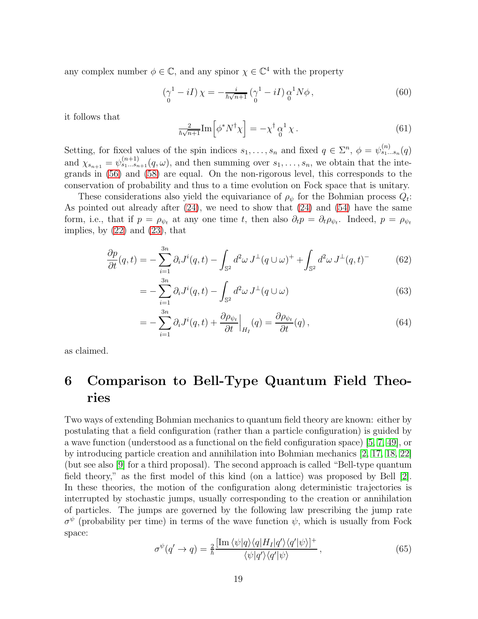any complex number  $\phi \in \mathbb{C}$ , and any spinor  $\chi \in \mathbb{C}^4$  with the property

$$
\left(\gamma^1 - iI\right)\chi = -\frac{i}{\hbar\sqrt{n+1}}\left(\gamma^1 - iI\right)\alpha^1 N\phi\,,\tag{60}
$$

it follows that

$$
\frac{2}{\hbar\sqrt{n+1}}\mathrm{Im}\left[\phi^*N^{\dagger}\chi\right] = -\chi^{\dagger}\underset{0}{\alpha}^{1}\chi.
$$
\n(61)

Setting, for fixed values of the spin indices  $s_1, \ldots, s_n$  and fixed  $q \in \Sigma^n$ ,  $\phi = \psi^{(n)}_{s_1...s_n}(q)$ and  $\chi_{s_{n+1}} = \psi_{s_1...s_{n+1}}^{(n+1)}(q,\omega)$ , and then summing over  $s_1,...,s_n$ , we obtain that the integrands in [\(56\)](#page-17-1) and [\(58\)](#page-17-2) are equal. On the non-rigorous level, this corresponds to the conservation of probability and thus to a time evolution on Fock space that is unitary.

These considerations also yield the equivariance of  $\rho_{\psi}$  for the Bohmian process  $Q_t$ : As pointed out already after [\(24\)](#page-10-1), we need to show that [\(24\)](#page-10-1) and [\(54\)](#page-17-0) have the same form, i.e., that if  $p = \rho_{\psi_t}$  at any one time t, then also  $\partial_t p = \partial_t \rho_{\psi_t}$ . Indeed,  $p = \rho_{\psi_t}$ implies, by  $(22)$  and  $(23)$ , that

$$
\frac{\partial p}{\partial t}(q,t) = -\sum_{i=1}^{3n} \partial_i J^i(q,t) - \int_{\mathbb{S}^2} d^2 \omega J^\perp(q \cup \omega)^+ + \int_{\mathbb{S}^2} d^2 \omega J^\perp(q,t)^- \tag{62}
$$

$$
= -\sum_{i=1}^{3n} \partial_i J^i(q, t) - \int_{\mathbb{S}^2} d^2 \omega J^\perp(q \cup \omega) \tag{63}
$$

$$
= -\sum_{i=1}^{3n} \partial_i J^i(q, t) + \frac{\partial \rho_{\psi_t}}{\partial t} \Big|_{H_I}(q) = \frac{\partial \rho_{\psi_t}}{\partial t}(q) , \qquad (64)
$$

<span id="page-18-0"></span>as claimed.

# 6 Comparison to Bell-Type Quantum Field Theories

Two ways of extending Bohmian mechanics to quantum field theory are known: either by postulating that a field configuration (rather than a particle configuration) is guided by a wave function (understood as a functional on the field configuration space) [\[5,](#page-21-0) [7,](#page-21-4) [49\]](#page-24-12), or by introducing particle creation and annihilation into Bohmian mechanics [\[2,](#page-21-12) [17,](#page-22-11) [18,](#page-22-4) [22\]](#page-22-5) (but see also [\[9\]](#page-21-13) for a third proposal). The second approach is called "Bell-type quantum field theory," as the first model of this kind (on a lattice) was proposed by Bell [\[2\]](#page-21-12). In these theories, the motion of the configuration along deterministic trajectories is interrupted by stochastic jumps, usually corresponding to the creation or annihilation of particles. The jumps are governed by the following law prescribing the jump rate  $\sigma^{\psi}$  (probability per time) in terms of the wave function  $\psi$ , which is usually from Fock space:

<span id="page-18-1"></span>
$$
\sigma^{\psi}(q' \to q) = \frac{2}{\hbar} \frac{\left[\text{Im}\,\langle\psi|q\rangle\langle q|H_I|q'\rangle\langle q'|\psi\rangle\right]^+}{\langle\psi|q'\rangle\langle q'|\psi\rangle},\tag{65}
$$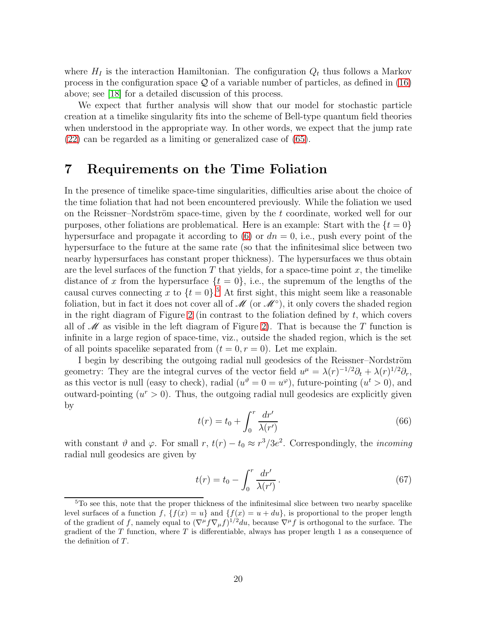where  $H_I$  is the interaction Hamiltonian. The configuration  $Q_t$  thus follows a Markov process in the configuration space  $\mathcal Q$  of a variable number of particles, as defined in [\(16\)](#page-8-3) above; see [\[18\]](#page-22-4) for a detailed discussion of this process.

We expect that further analysis will show that our model for stochastic particle creation at a timelike singularity fits into the scheme of Bell-type quantum field theories when understood in the appropriate way. In other words, we expect that the jump rate [\(22\)](#page-10-2) can be regarded as a limiting or generalized case of [\(65\)](#page-18-1).

### <span id="page-19-0"></span>7 Requirements on the Time Foliation

In the presence of timelike space-time singularities, difficulties arise about the choice of the time foliation that had not been encountered previously. While the foliation we used on the Reissner–Nordström space-time, given by the  $t$  coordinate, worked well for our purposes, other foliations are problematical. Here is an example: Start with the  $\{t = 0\}$ hypersurface and propagate it according to  $(6)$  or  $dn = 0$ , i.e., push every point of the hypersurface to the future at the same rate (so that the infinitesimal slice between two nearby hypersurfaces has constant proper thickness). The hypersurfaces we thus obtain are the level surfaces of the function  $T$  that yields, for a space-time point  $x$ , the timelike distance of x from the hypersurface  $\{t = 0\}$ , i.e., the supremum of the lengths of the causal curves connecting x to  $\{t = 0\}$ .<sup>[5](#page-19-1)</sup> At first sight, this might seem like a reasonable foliation, but in fact it does not cover all of  $\mathscr{M}$  (or  $\mathscr{M}^{\circ}$ ), it only covers the shaded region in the right diagram of Figure [2](#page-20-0) (in contrast to the foliation defined by  $t$ , which covers all of  $\mathscr M$  as visible in the left diagram of Figure [2\)](#page-20-0). That is because the T function is infinite in a large region of space-time, viz., outside the shaded region, which is the set of all points spacelike separated from  $(t = 0, r = 0)$ . Let me explain.

I begin by describing the outgoing radial null geodesics of the Reissner–Nordström geometry: They are the integral curves of the vector field  $u^{\mu} = \lambda(r)^{-1/2}\partial_t + \lambda(r)^{1/2}\partial_r$ , as this vector is null (easy to check), radial  $(u^{\theta} = 0 = u^{\varphi})$ , future-pointing  $(u^{t} > 0)$ , and outward-pointing  $(u^r > 0)$ . Thus, the outgoing radial null geodesics are explicitly given by

<span id="page-19-2"></span>
$$
t(r) = t_0 + \int_0^r \frac{dr'}{\lambda(r')}
$$
\n(66)

with constant  $\vartheta$  and  $\varphi$ . For small  $r, t(r) - t_0 \approx r^3/3e^2$ . Correspondingly, the *incoming* radial null geodesics are given by

$$
t(r) = t_0 - \int_0^r \frac{dr'}{\lambda(r')} \,. \tag{67}
$$

<span id="page-19-1"></span><sup>&</sup>lt;sup>5</sup>To see this, note that the proper thickness of the infinitesimal slice between two nearby spacelike level surfaces of a function f,  ${f(x) = u}$  and  ${f(x) = u + du}$ , is proportional to the proper length of the gradient of f, namely equal to  $(\nabla^{\mu} f \nabla_{\mu} f)^{1/2} du$ , because  $\nabla^{\mu} f$  is orthogonal to the surface. The gradient of the  $T$  function, where  $T$  is differentiable, always has proper length 1 as a consequence of the definition of  $T$ .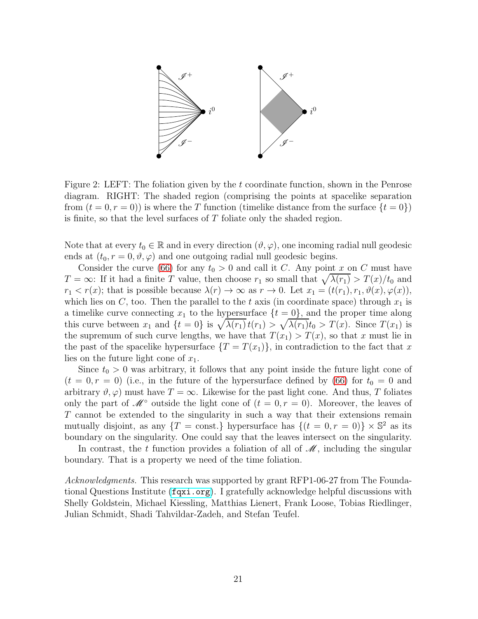

<span id="page-20-0"></span>Figure 2: LEFT: The foliation given by the t coordinate function, shown in the Penrose diagram. RIGHT: The shaded region (comprising the points at spacelike separation from  $(t = 0, r = 0)$  is where the T function (timelike distance from the surface  $\{t = 0\}$ ) is finite, so that the level surfaces of  $T$  foliate only the shaded region.

Note that at every  $t_0 \in \mathbb{R}$  and in every direction  $(\vartheta, \varphi)$ , one incoming radial null geodesic ends at  $(t_0, r = 0, \vartheta, \varphi)$  and one outgoing radial null geodesic begins.

Consider the curve [\(66\)](#page-19-2) for any  $t_0 > 0$  and call it C. Any point x on C must have  $T = \infty$ : If it had a finite T value, then choose  $r_1$  so small that  $\sqrt{\lambda(r_1)} > T(x)/t_0$  and  $r_1 < r(x)$ ; that is possible because  $\lambda(r) \to \infty$  as  $r \to 0$ . Let  $x_1 = (t(r_1), r_1, \vartheta(x), \varphi(x)),$ which lies on C, too. Then the parallel to the t axis (in coordinate space) through  $x_1$  is a timelike curve connecting  $x_1$  to the hypersurface  $\{t = 0\}$ , and the proper time along this curve between  $x_1$  and  $\{t = 0\}$  is  $\sqrt{\lambda(r_1)}t(r_1) > \sqrt{\lambda(r_1)}t_0 > T(x)$ . Since  $T(x_1)$  is the supremum of such curve lengths, we have that  $T(x_1) > T(x)$ , so that x must lie in the past of the spacelike hypersurface  $\{T = T(x_1)\}\,$  in contradiction to the fact that x lies on the future light cone of  $x_1$ .

Since  $t_0 > 0$  was arbitrary, it follows that any point inside the future light cone of  $(t = 0, r = 0)$  (i.e., in the future of the hypersurface defined by [\(66\)](#page-19-2) for  $t_0 = 0$  and arbitrary  $\vartheta, \varphi$ ) must have  $T = \infty$ . Likewise for the past light cone. And thus, T foliates only the part of  $\mathscr{M}^{\circ}$  outside the light cone of  $(t = 0, r = 0)$ . Moreover, the leaves of T cannot be extended to the singularity in such a way that their extensions remain mutually disjoint, as any  $\{T = \text{const.}\}\$  hypersurface has  $\{(t = 0, r = 0)\}\times\mathbb{S}^2$  as its boundary on the singularity. One could say that the leaves intersect on the singularity.

In contrast, the t function provides a foliation of all of  $\mathcal{M}$ , including the singular boundary. That is a property we need of the time foliation.

Acknowledgments. This research was supported by grant RFP1-06-27 from The Foundational Questions Institute (<fqxi.org>). I gratefully acknowledge helpful discussions with Shelly Goldstein, Michael Kiessling, Matthias Lienert, Frank Loose, Tobias Riedlinger, Julian Schmidt, Shadi Tahvildar-Zadeh, and Stefan Teufel.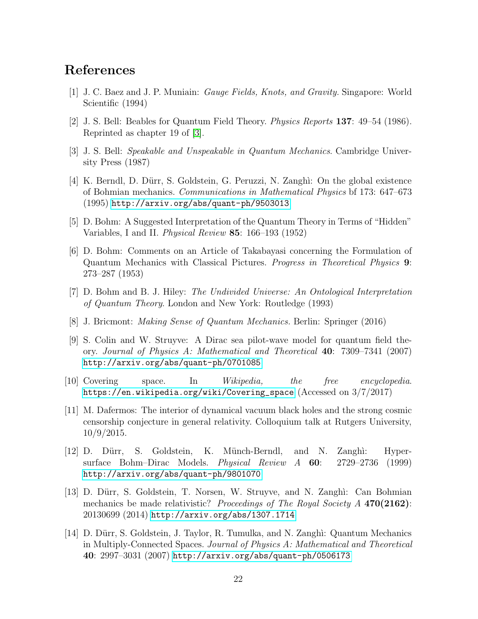## <span id="page-21-9"></span>References

- <span id="page-21-12"></span>[1] J. C. Baez and J. P. Muniain: Gauge Fields, Knots, and Gravity. Singapore: World Scientific (1994)
- <span id="page-21-3"></span>[2] J. S. Bell: Beables for Quantum Field Theory. Physics Reports 137: 49–54 (1986). Reprinted as chapter 19 of [\[3\]](#page-21-3).
- <span id="page-21-7"></span>[3] J. S. Bell: Speakable and Unspeakable in Quantum Mechanics. Cambridge University Press (1987)
- [4] K. Berndl, D. D¨urr, S. Goldstein, G. Peruzzi, N. Zangh`ı: On the global existence of Bohmian mechanics. Communications in Mathematical Physics bf 173: 647–673 (1995) <http://arxiv.org/abs/quant-ph/9503013>
- <span id="page-21-6"></span><span id="page-21-0"></span>[5] D. Bohm: A Suggested Interpretation of the Quantum Theory in Terms of "Hidden" Variables, I and II. Physical Review 85: 166–193 (1952)
- [6] D. Bohm: Comments on an Article of Takabayasi concerning the Formulation of Quantum Mechanics with Classical Pictures. Progress in Theoretical Physics 9: 273–287 (1953)
- <span id="page-21-5"></span><span id="page-21-4"></span>[7] D. Bohm and B. J. Hiley: The Undivided Universe: An Ontological Interpretation of Quantum Theory. London and New York: Routledge (1993)
- <span id="page-21-13"></span>[8] J. Bricmont: Making Sense of Quantum Mechanics. Berlin: Springer (2016)
- [9] S. Colin and W. Struyve: A Dirac sea pilot-wave model for quantum field theory. Journal of Physics A: Mathematical and Theoretical 40: 7309–7341 (2007) <http://arxiv.org/abs/quant-ph/0701085>
- <span id="page-21-11"></span><span id="page-21-2"></span>[10] Covering space. In Wikipedia, the free encyclopedia. [https://en.wikipedia.org/wiki/Covering\\_space](https://en.wikipedia.org/wiki/Covering_space) (Accessed on 3/7/2017)
- [11] M. Dafermos: The interior of dynamical vacuum black holes and the strong cosmic censorship conjecture in general relativity. Colloquium talk at Rutgers University, 10/9/2015.
- <span id="page-21-1"></span>[12] D. Dürr, S. Goldstein, K. Münch-Berndl, and N. Zanghi: Hypersurface Bohm–Dirac Models. Physical Review A 60: 2729–2736 (1999) <http://arxiv.org/abs/quant-ph/9801070>
- <span id="page-21-8"></span>[13] D. D¨urr, S. Goldstein, T. Norsen, W. Struyve, and N. Zangh`ı: Can Bohmian mechanics be made relativistic? Proceedings of The Royal Society  $A$  470(2162): 20130699 (2014) <http://arxiv.org/abs/1307.1714>
- <span id="page-21-10"></span>[14] D. Dürr, S. Goldstein, J. Taylor, R. Tumulka, and N. Zanghi: Quantum Mechanics in Multiply-Connected Spaces. Journal of Physics A: Mathematical and Theoretical 40: 2997–3031 (2007) <http://arxiv.org/abs/quant-ph/0506173>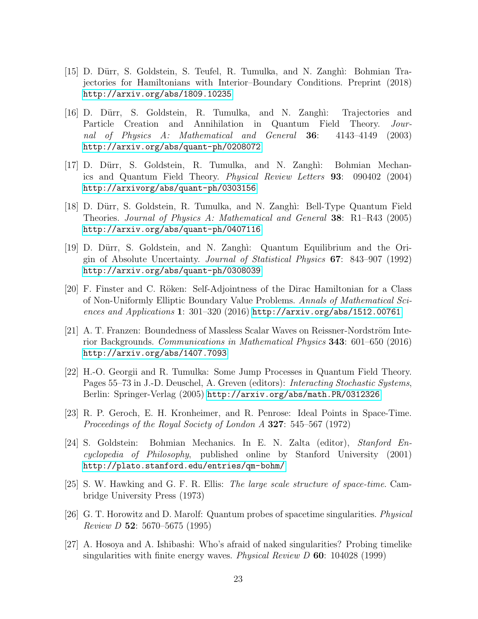- <span id="page-22-7"></span>[15] D. Dürr, S. Goldstein, S. Teufel, R. Tumulka, and N. Zanghi: Bohmian Trajectories for Hamiltonians with Interior–Boundary Conditions. Preprint (2018) <http://arxiv.org/abs/1809.10235>
- [16] D. D¨urr, S. Goldstein, R. Tumulka, and N. Zangh`ı: Trajectories and Particle Creation and Annihilation in Quantum Field Theory. Journal of Physics A: Mathematical and General 36: 4143–4149 (2003) <http://arxiv.org/abs/quant-ph/0208072>
- <span id="page-22-11"></span>[17] D. Dürr, S. Goldstein, R. Tumulka, and N. Zanghi: Bohmian Mechanics and Quantum Field Theory. Physical Review Letters 93: 090402 (2004) <http://arxivorg/abs/quant-ph/0303156>
- <span id="page-22-4"></span>[18] D. D¨urr, S. Goldstein, R. Tumulka, and N. Zangh`ı: Bell-Type Quantum Field Theories. Journal of Physics A: Mathematical and General 38: R1–R43 (2005) <http://arxiv.org/abs/quant-ph/0407116>
- <span id="page-22-6"></span>[19] D. Dürr, S. Goldstein, and N. Zanghi: Quantum Equilibrium and the Origin of Absolute Uncertainty. Journal of Statistical Physics 67: 843–907 (1992) <http://arxiv.org/abs/quant-ph/0308039>
- <span id="page-22-10"></span>[20] F. Finster and C. Röken: Self-Adjointness of the Dirac Hamiltonian for a Class of Non-Uniformly Elliptic Boundary Value Problems. Annals of Mathematical Sciences and Applications 1: 301–320 (2016) <http://arxiv.org/abs/1512.00761>
- <span id="page-22-2"></span>[21] A. T. Franzen: Boundedness of Massless Scalar Waves on Reissner-Nordström Interior Backgrounds. Communications in Mathematical Physics 343: 601–650 (2016) <http://arxiv.org/abs/1407.7093>
- <span id="page-22-5"></span>[22] H.-O. Georgii and R. Tumulka: Some Jump Processes in Quantum Field Theory. Pages 55–73 in J.-D. Deuschel, A. Greven (editors): Interacting Stochastic Systems, Berlin: Springer-Verlag (2005) <http://arxiv.org/abs/math.PR/0312326>
- <span id="page-22-9"></span>[23] R. P. Geroch, E. H. Kronheimer, and R. Penrose: Ideal Points in Space-Time. Proceedings of the Royal Society of London A 327: 545–567 (1972)
- <span id="page-22-3"></span>[24] S. Goldstein: Bohmian Mechanics. In E. N. Zalta (editor), Stanford Encyclopedia of Philosophy, published online by Stanford University (2001) <http://plato.stanford.edu/entries/qm-bohm/>
- <span id="page-22-8"></span>[25] S. W. Hawking and G. F. R. Ellis: The large scale structure of space-time. Cambridge University Press (1973)
- <span id="page-22-0"></span>[26] G. T. Horowitz and D. Marolf: Quantum probes of spacetime singularities. Physical Review D 52: 5670–5675 (1995)
- <span id="page-22-1"></span>[27] A. Hosoya and A. Ishibashi: Who's afraid of naked singularities? Probing timelike singularities with finite energy waves. *Physical Review D* 60: 104028 (1999)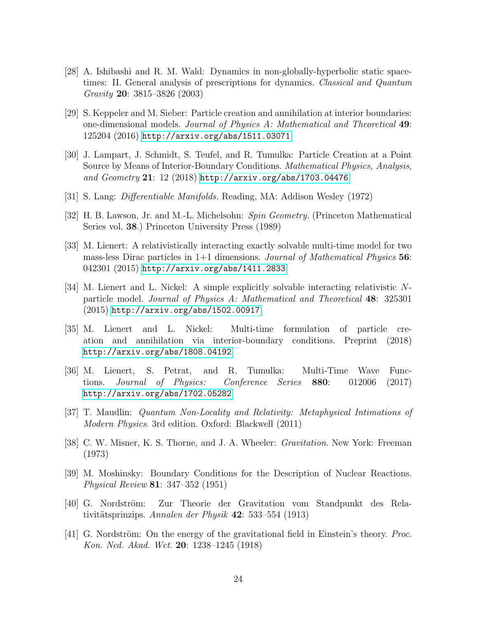- <span id="page-23-0"></span>[28] A. Ishibashi and R. M. Wald: Dynamics in non-globally-hyperbolic static spacetimes: II. General analysis of prescriptions for dynamics. Classical and Quantum Gravity 20: 3815–3826 (2003)
- <span id="page-23-2"></span>[29] S. Keppeler and M. Sieber: Particle creation and annihilation at interior boundaries: one-dimensional models. Journal of Physics A: Mathematical and Theoretical 49: 125204 (2016) <http://arxiv.org/abs/1511.03071>
- <span id="page-23-4"></span>[30] J. Lampart, J. Schmidt, S. Teufel, and R. Tumulka: Particle Creation at a Point Source by Means of Interior-Boundary Conditions. Mathematical Physics, Analysis, and  $Geometry$  21: 12 (2018) <http://arxiv.org/abs/1703.04476>
- <span id="page-23-13"></span><span id="page-23-12"></span>[31] S. Lang: Differentiable Manifolds. Reading, MA: Addison Wesley (1972)
- <span id="page-23-6"></span>[32] H. B. Lawson, Jr. and M.-L. Michelsohn: Spin Geometry. (Princeton Mathematical Series vol. 38.) Princeton University Press (1989)
- [33] M. Lienert: A relativistically interacting exactly solvable multi-time model for two mass-less Dirac particles in  $1+1$  dimensions. *Journal of Mathematical Physics* 56: 042301 (2015) <http://arxiv.org/abs/1411.2833>
- <span id="page-23-7"></span>[34] M. Lienert and L. Nickel: A simple explicitly solvable interacting relativistic Nparticle model. Journal of Physics A: Mathematical and Theoretical 48: 325301 (2015) <http://arxiv.org/abs/1502.00917>
- <span id="page-23-3"></span>[35] M. Lienert and L. Nickel: Multi-time formulation of particle creation and annihilation via interior-boundary conditions. Preprint (2018) <http://arxiv.org/abs/1808.04192>
- <span id="page-23-8"></span>[36] M. Lienert, S. Petrat, and R. Tumulka: Multi-Time Wave Functions. Journal of Physics: Conference Series 880: 012006 (2017) <http://arxiv.org/abs/1702.05282>
- <span id="page-23-11"></span><span id="page-23-5"></span>[37] T. Maudlin: Quantum Non-Locality and Relativity: Metaphysical Intimations of Modern Physics. 3rd edition. Oxford: Blackwell (2011)
- [38] C. W. Misner, K. S. Thorne, and J. A. Wheeler: Gravitation. New York: Freeman (1973)
- <span id="page-23-1"></span>[39] M. Moshinsky: Boundary Conditions for the Description of Nuclear Reactions. Physical Review 81: 347–352 (1951)
- <span id="page-23-9"></span>[40] G. Nordström: Zur Theorie der Gravitation vom Standpunkt des Relativitätsprinzips. Annalen der Physik  $42: 533-554 (1913)$
- <span id="page-23-10"></span>[41] G. Nordström: On the energy of the gravitational field in Einstein's theory. *Proc.* Kon. Ned. Akad. Wet. 20: 1238–1245 (1918)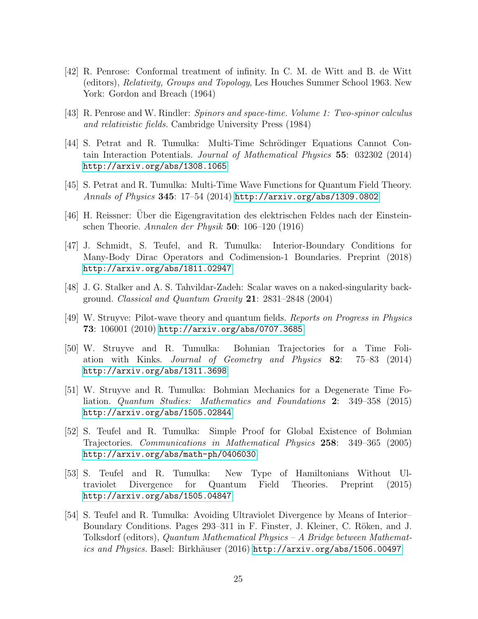- <span id="page-24-10"></span>[42] R. Penrose: Conformal treatment of infinity. In C. M. de Witt and B. de Witt (editors), Relativity, Groups and Topology, Les Houches Summer School 1963. New York: Gordon and Breach (1964)
- <span id="page-24-11"></span><span id="page-24-5"></span>[43] R. Penrose and W. Rindler: Spinors and space-time. Volume 1: Two-spinor calculus and relativistic fields. Cambridge University Press (1984)
- [44] S. Petrat and R. Tumulka: Multi-Time Schrödinger Equations Cannot Contain Interaction Potentials. Journal of Mathematical Physics 55: 032302 (2014) <http://arxiv.org/abs/1308.1065>
- <span id="page-24-9"></span><span id="page-24-6"></span>[45] S. Petrat and R. Tumulka: Multi-Time Wave Functions for Quantum Field Theory. Annals of Physics 345: 17–54 (2014) <http://arxiv.org/abs/1309.0802>
- <span id="page-24-3"></span>[46] H. Reissner: Uber die Eigengravitation des elektrischen Feldes nach der Einstein- ¨ schen Theorie. Annalen der Physik 50: 106–120 (1916)
- [47] J. Schmidt, S. Teufel, and R. Tumulka: Interior-Boundary Conditions for Many-Body Dirac Operators and Codimension-1 Boundaries. Preprint (2018) <http://arxiv.org/abs/1811.02947>
- <span id="page-24-12"></span><span id="page-24-0"></span>[48] J. G. Stalker and A. S. Tahvildar-Zadeh: Scalar waves on a naked-singularity background. Classical and Quantum Gravity  $21: 2831-2848$  (2004)
- [49] W. Struyve: Pilot-wave theory and quantum fields. Reports on Progress in Physics 73: 106001 (2010) <http://arxiv.org/abs/0707.3685>
- <span id="page-24-7"></span>[50] W. Struyve and R. Tumulka: Bohmian Trajectories for a Time Foliation with Kinks. Journal of Geometry and Physics 82: 75–83 (2014) <http://arxiv.org/abs/1311.3698>
- <span id="page-24-8"></span>[51] W. Struyve and R. Tumulka: Bohmian Mechanics for a Degenerate Time Foliation. Quantum Studies: Mathematics and Foundations 2: 349–358 (2015) <http://arxiv.org/abs/1505.02844>
- <span id="page-24-4"></span>[52] S. Teufel and R. Tumulka: Simple Proof for Global Existence of Bohmian Trajectories. Communications in Mathematical Physics 258: 349–365 (2005) <http://arxiv.org/abs/math-ph/0406030>
- <span id="page-24-1"></span>[53] S. Teufel and R. Tumulka: New Type of Hamiltonians Without Ultraviolet Divergence for Quantum Field Theories. Preprint (2015) <http://arxiv.org/abs/1505.04847>
- <span id="page-24-2"></span>[54] S. Teufel and R. Tumulka: Avoiding Ultraviolet Divergence by Means of Interior– Boundary Conditions. Pages 293–311 in F. Finster, J. Kleiner, C. Röken, and J. Tolksdorf (editors), Quantum Mathematical Physics – A Bridge between Mathematics and Physics. Basel: Birkhäuser (2016) <http://arxiv.org/abs/1506.00497>